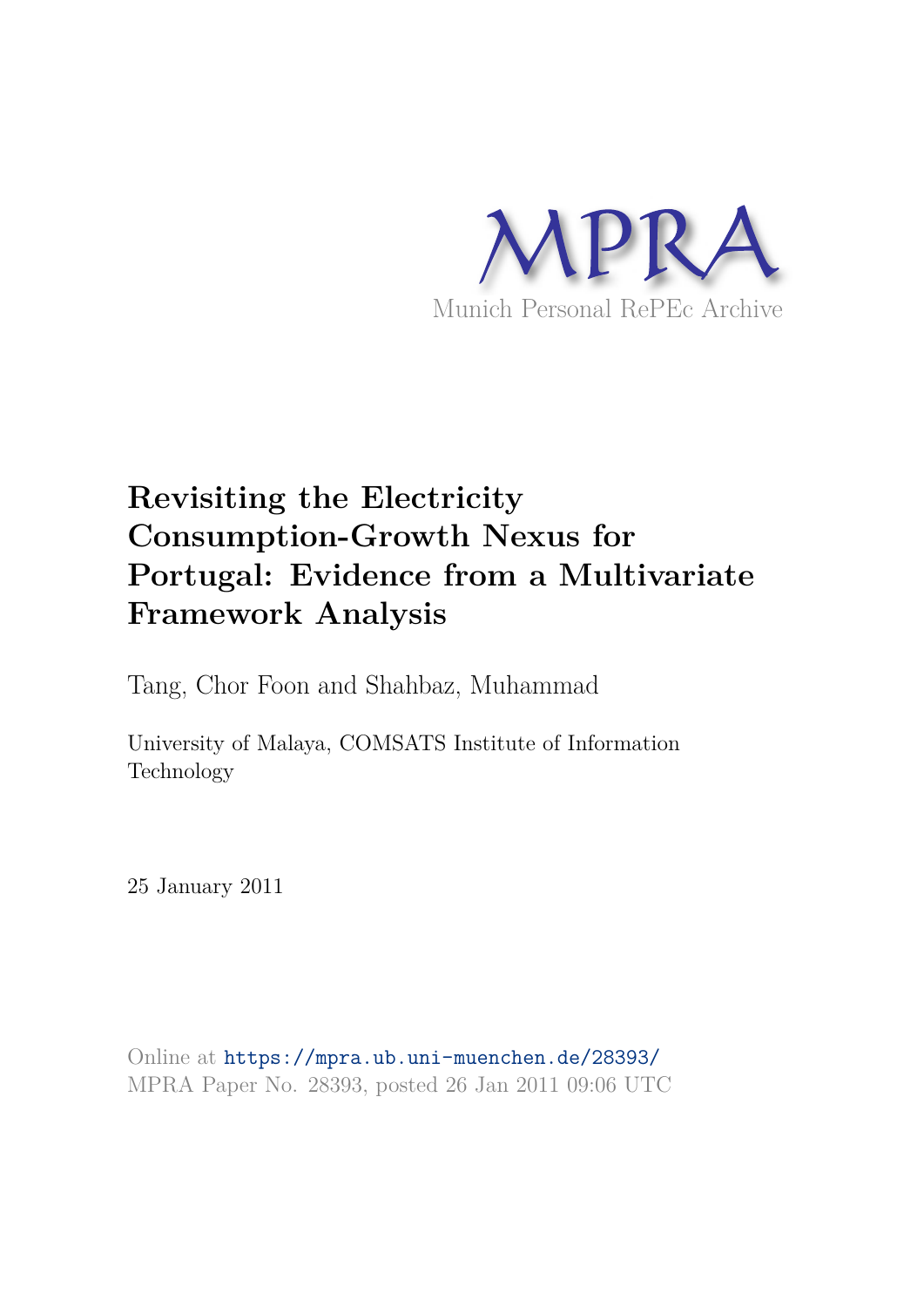

# **Revisiting the Electricity Consumption-Growth Nexus for Portugal: Evidence from a Multivariate Framework Analysis**

Tang, Chor Foon and Shahbaz, Muhammad

University of Malaya, COMSATS Institute of Information Technology

25 January 2011

Online at https://mpra.ub.uni-muenchen.de/28393/ MPRA Paper No. 28393, posted 26 Jan 2011 09:06 UTC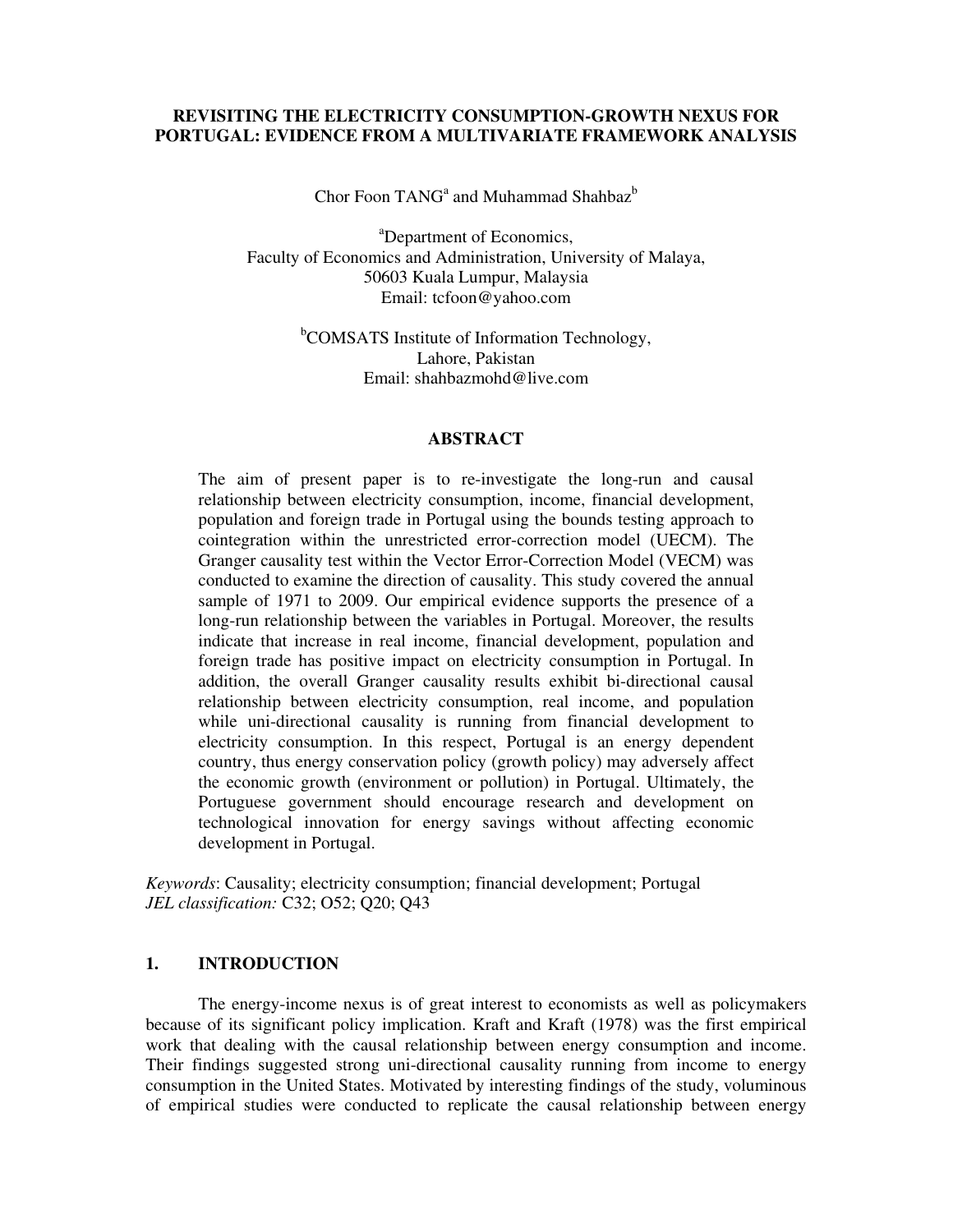## **REVISITING THE ELECTRICITY CONSUMPTION-GROWTH NEXUS FOR PORTUGAL: EVIDENCE FROM A MULTIVARIATE FRAMEWORK ANALYSIS**

Chor Foon  $TANG<sup>a</sup>$  and Muhammad Shahbaz $<sup>b</sup>$ </sup>

<sup>a</sup>Department of Economics, Faculty of Economics and Administration, University of Malaya, 50603 Kuala Lumpur, Malaysia Email: tcfoon@yahoo.com

> <sup>b</sup>COMSATS Institute of Information Technology, Lahore, Pakistan Email: shahbazmohd@live.com

### **ABSTRACT**

The aim of present paper is to re-investigate the long-run and causal relationship between electricity consumption, income, financial development, population and foreign trade in Portugal using the bounds testing approach to cointegration within the unrestricted error-correction model (UECM). The Granger causality test within the Vector Error-Correction Model (VECM) was conducted to examine the direction of causality. This study covered the annual sample of 1971 to 2009. Our empirical evidence supports the presence of a long-run relationship between the variables in Portugal. Moreover, the results indicate that increase in real income, financial development, population and foreign trade has positive impact on electricity consumption in Portugal. In addition, the overall Granger causality results exhibit bi-directional causal relationship between electricity consumption, real income, and population while uni-directional causality is running from financial development to electricity consumption. In this respect, Portugal is an energy dependent country, thus energy conservation policy (growth policy) may adversely affect the economic growth (environment or pollution) in Portugal. Ultimately, the Portuguese government should encourage research and development on technological innovation for energy savings without affecting economic development in Portugal.

*Keywords*: Causality; electricity consumption; financial development; Portugal *JEL classification:* C32; O52; O20; O43

## **1. INTRODUCTION**

The energy-income nexus is of great interest to economists as well as policymakers because of its significant policy implication. Kraft and Kraft (1978) was the first empirical work that dealing with the causal relationship between energy consumption and income. Their findings suggested strong uni-directional causality running from income to energy consumption in the United States. Motivated by interesting findings of the study, voluminous of empirical studies were conducted to replicate the causal relationship between energy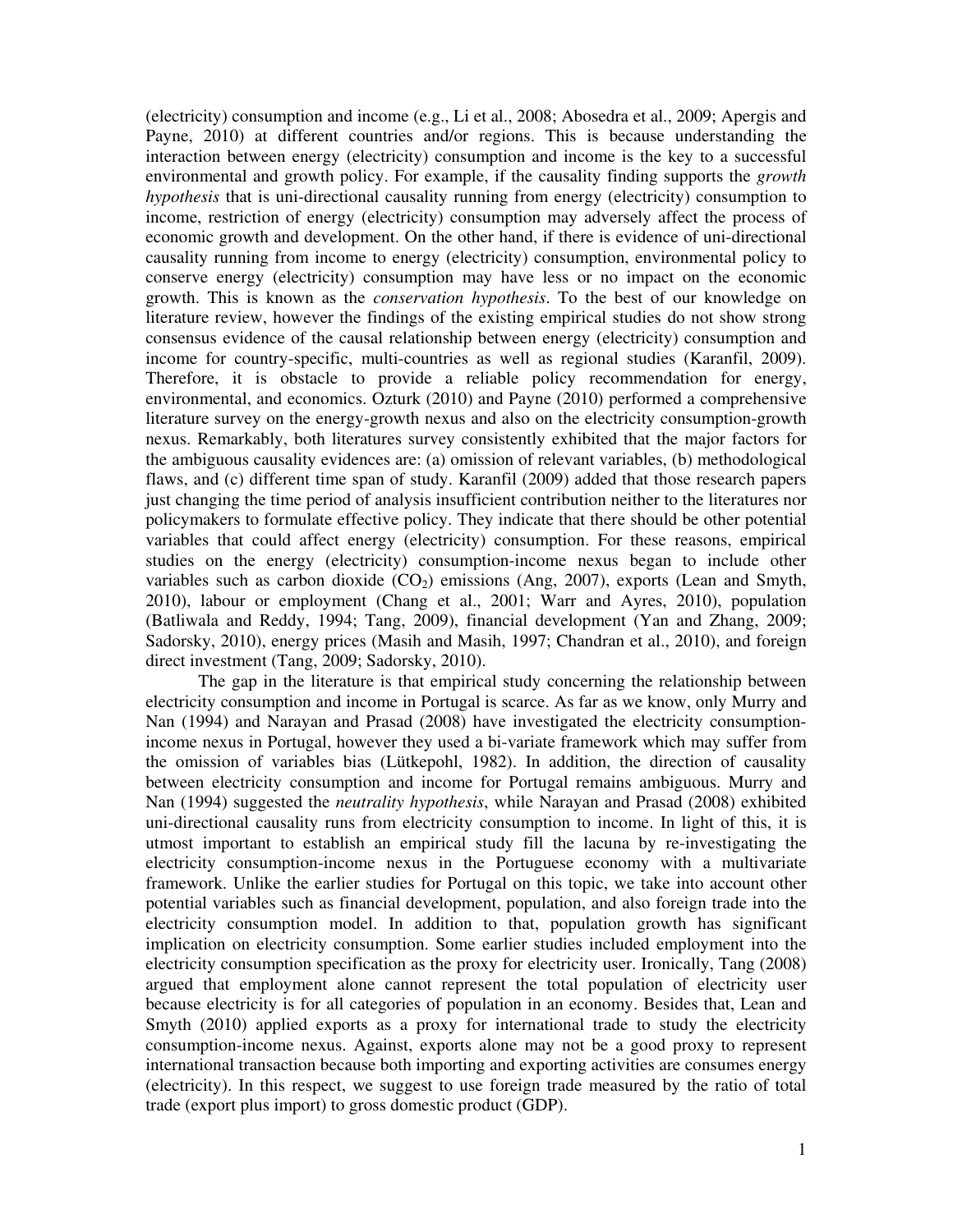(electricity) consumption and income (e.g., Li et al., 2008; Abosedra et al., 2009; Apergis and Payne, 2010) at different countries and/or regions. This is because understanding the interaction between energy (electricity) consumption and income is the key to a successful environmental and growth policy. For example, if the causality finding supports the *growth hypothesis* that is uni-directional causality running from energy (electricity) consumption to income, restriction of energy (electricity) consumption may adversely affect the process of economic growth and development. On the other hand, if there is evidence of uni-directional causality running from income to energy (electricity) consumption, environmental policy to conserve energy (electricity) consumption may have less or no impact on the economic growth. This is known as the *conservation hypothesis*. To the best of our knowledge on literature review, however the findings of the existing empirical studies do not show strong consensus evidence of the causal relationship between energy (electricity) consumption and income for country-specific, multi-countries as well as regional studies (Karanfil, 2009). Therefore, it is obstacle to provide a reliable policy recommendation for energy, environmental, and economics. Ozturk (2010) and Payne (2010) performed a comprehensive literature survey on the energy-growth nexus and also on the electricity consumption-growth nexus. Remarkably, both literatures survey consistently exhibited that the major factors for the ambiguous causality evidences are: (a) omission of relevant variables, (b) methodological flaws, and (c) different time span of study. Karanfil (2009) added that those research papers just changing the time period of analysis insufficient contribution neither to the literatures nor policymakers to formulate effective policy. They indicate that there should be other potential variables that could affect energy (electricity) consumption. For these reasons, empirical studies on the energy (electricity) consumption-income nexus began to include other variables such as carbon dioxide  $(CO_2)$  emissions (Ang, 2007), exports (Lean and Smyth, 2010), labour or employment (Chang et al., 2001; Warr and Ayres, 2010), population (Batliwala and Reddy, 1994; Tang, 2009), financial development (Yan and Zhang, 2009; Sadorsky, 2010), energy prices (Masih and Masih, 1997; Chandran et al., 2010), and foreign direct investment (Tang, 2009; Sadorsky, 2010).

The gap in the literature is that empirical study concerning the relationship between electricity consumption and income in Portugal is scarce. As far as we know, only Murry and Nan (1994) and Narayan and Prasad (2008) have investigated the electricity consumptionincome nexus in Portugal, however they used a bi-variate framework which may suffer from the omission of variables bias (Lütkepohl, 1982). In addition, the direction of causality between electricity consumption and income for Portugal remains ambiguous. Murry and Nan (1994) suggested the *neutrality hypothesis*, while Narayan and Prasad (2008) exhibited uni-directional causality runs from electricity consumption to income. In light of this, it is utmost important to establish an empirical study fill the lacuna by re-investigating the electricity consumption-income nexus in the Portuguese economy with a multivariate framework. Unlike the earlier studies for Portugal on this topic, we take into account other potential variables such as financial development, population, and also foreign trade into the electricity consumption model. In addition to that, population growth has significant implication on electricity consumption. Some earlier studies included employment into the electricity consumption specification as the proxy for electricity user. Ironically, Tang (2008) argued that employment alone cannot represent the total population of electricity user because electricity is for all categories of population in an economy. Besides that, Lean and Smyth (2010) applied exports as a proxy for international trade to study the electricity consumption-income nexus. Against, exports alone may not be a good proxy to represent international transaction because both importing and exporting activities are consumes energy (electricity). In this respect, we suggest to use foreign trade measured by the ratio of total trade (export plus import) to gross domestic product (GDP).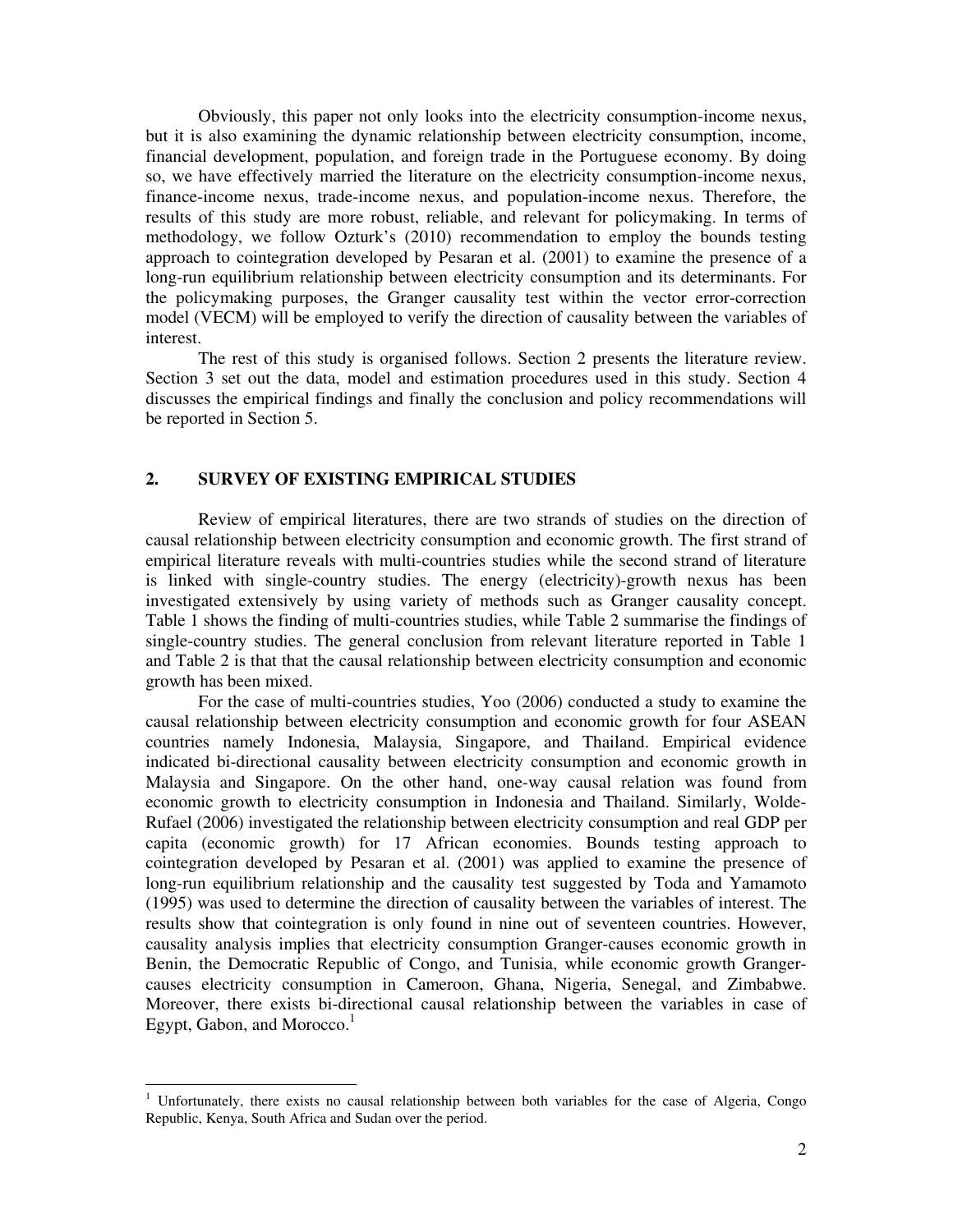Obviously, this paper not only looks into the electricity consumption-income nexus, but it is also examining the dynamic relationship between electricity consumption, income, financial development, population, and foreign trade in the Portuguese economy. By doing so, we have effectively married the literature on the electricity consumption-income nexus, finance-income nexus, trade-income nexus, and population-income nexus. Therefore, the results of this study are more robust, reliable, and relevant for policymaking. In terms of methodology, we follow Ozturk's (2010) recommendation to employ the bounds testing approach to cointegration developed by Pesaran et al. (2001) to examine the presence of a long-run equilibrium relationship between electricity consumption and its determinants. For the policymaking purposes, the Granger causality test within the vector error-correction model (VECM) will be employed to verify the direction of causality between the variables of interest.

The rest of this study is organised follows. Section 2 presents the literature review. Section 3 set out the data, model and estimation procedures used in this study. Section 4 discusses the empirical findings and finally the conclusion and policy recommendations will be reported in Section 5.

## **2. SURVEY OF EXISTING EMPIRICAL STUDIES**

Review of empirical literatures, there are two strands of studies on the direction of causal relationship between electricity consumption and economic growth. The first strand of empirical literature reveals with multi-countries studies while the second strand of literature is linked with single-country studies. The energy (electricity)-growth nexus has been investigated extensively by using variety of methods such as Granger causality concept. Table 1 shows the finding of multi-countries studies, while Table 2 summarise the findings of single-country studies. The general conclusion from relevant literature reported in Table 1 and Table 2 is that that the causal relationship between electricity consumption and economic growth has been mixed.

For the case of multi-countries studies, Yoo (2006) conducted a study to examine the causal relationship between electricity consumption and economic growth for four ASEAN countries namely Indonesia, Malaysia, Singapore, and Thailand. Empirical evidence indicated bi-directional causality between electricity consumption and economic growth in Malaysia and Singapore. On the other hand, one-way causal relation was found from economic growth to electricity consumption in Indonesia and Thailand. Similarly, Wolde-Rufael (2006) investigated the relationship between electricity consumption and real GDP per capita (economic growth) for 17 African economies. Bounds testing approach to cointegration developed by Pesaran et al. (2001) was applied to examine the presence of long-run equilibrium relationship and the causality test suggested by Toda and Yamamoto (1995) was used to determine the direction of causality between the variables of interest. The results show that cointegration is only found in nine out of seventeen countries. However, causality analysis implies that electricity consumption Granger-causes economic growth in Benin, the Democratic Republic of Congo, and Tunisia, while economic growth Grangercauses electricity consumption in Cameroon, Ghana, Nigeria, Senegal, and Zimbabwe. Moreover, there exists bi-directional causal relationship between the variables in case of Egypt, Gabon, and Morocco. $<sup>1</sup>$ </sup>

 $\overline{a}$ 

<sup>&</sup>lt;sup>1</sup> Unfortunately, there exists no causal relationship between both variables for the case of Algeria, Congo Republic, Kenya, South Africa and Sudan over the period.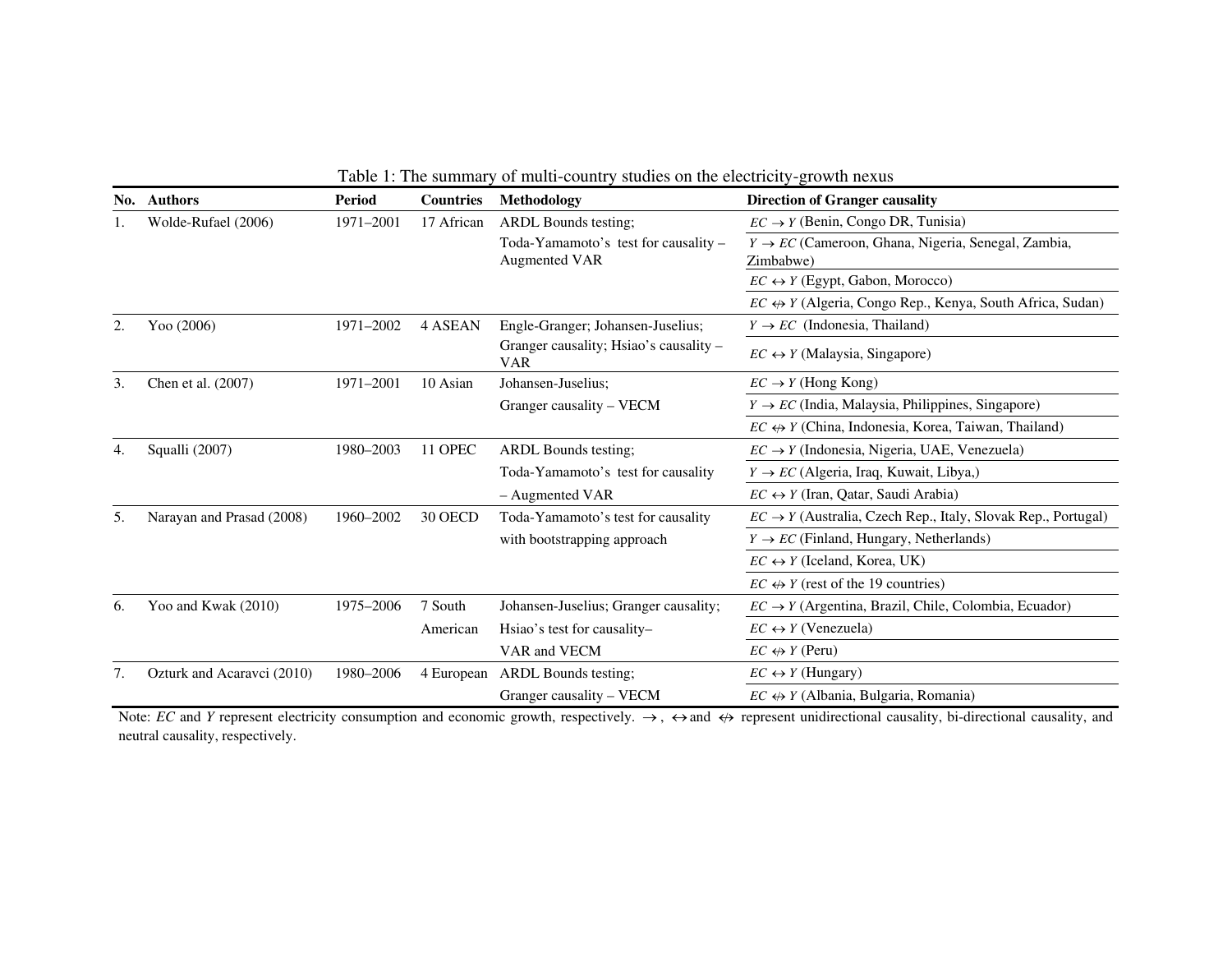| No. | <b>Authors</b>             | <b>Period</b> | <b>Countries</b> | Methodology                                                  | <b>Direction of Granger causality</b>                                       |
|-----|----------------------------|---------------|------------------|--------------------------------------------------------------|-----------------------------------------------------------------------------|
|     | Wolde-Rufael (2006)        | 1971-2001     | 17 African       | <b>ARDL</b> Bounds testing;                                  | $EC \rightarrow Y$ (Benin, Congo DR, Tunisia)                               |
|     |                            |               |                  | Toda-Yamamoto's test for causality -<br><b>Augmented VAR</b> | $Y \rightarrow EC$ (Cameroon, Ghana, Nigeria, Senegal, Zambia,<br>Zimbabwe) |
|     |                            |               |                  |                                                              | $EC \leftrightarrow Y$ (Egypt, Gabon, Morocco)                              |
|     |                            |               |                  |                                                              | $EC \leftrightarrow Y$ (Algeria, Congo Rep., Kenya, South Africa, Sudan)    |
| 2.  | Yoo (2006)                 | 1971-2002     | 4 ASEAN          | Engle-Granger; Johansen-Juselius;                            | $Y \rightarrow EC$ (Indonesia, Thailand)                                    |
|     |                            |               |                  | Granger causality; Hsiao's causality –<br><b>VAR</b>         | $EC \leftrightarrow Y$ (Malaysia, Singapore)                                |
| 3.  | Chen et al. (2007)         | 1971-2001     | 10 Asian         | Johansen-Juselius;                                           | $EC \rightarrow Y$ (Hong Kong)                                              |
|     |                            |               |                  | Granger causality – VECM                                     | $Y \rightarrow EC$ (India, Malaysia, Philippines, Singapore)                |
|     |                            |               |                  |                                                              | $EC \leftrightarrow Y$ (China, Indonesia, Korea, Taiwan, Thailand)          |
| 4.  | Squalli (2007)             | 1980-2003     | 11 OPEC          | <b>ARDL Bounds testing:</b>                                  | $EC \rightarrow Y$ (Indonesia, Nigeria, UAE, Venezuela)                     |
|     |                            |               |                  | Toda-Yamamoto's test for causality                           | $Y \rightarrow EC$ (Algeria, Iraq, Kuwait, Libya,)                          |
|     |                            |               |                  | - Augmented VAR                                              | $EC \leftrightarrow Y$ (Iran, Qatar, Saudi Arabia)                          |
| 5.  | Narayan and Prasad (2008)  | 1960-2002     | 30 OECD          | Toda-Yamamoto's test for causality                           | $EC \rightarrow Y$ (Australia, Czech Rep., Italy, Slovak Rep., Portugal)    |
|     |                            |               |                  | with bootstrapping approach                                  | $Y \rightarrow EC$ (Finland, Hungary, Netherlands)                          |
|     |                            |               |                  |                                                              | $EC \leftrightarrow Y$ (Iceland, Korea, UK)                                 |
|     |                            |               |                  |                                                              | $EC \leftrightarrow Y$ (rest of the 19 countries)                           |
| 6.  | Yoo and Kwak (2010)        | 1975-2006     | 7 South          | Johansen-Juselius; Granger causality;                        | $EC \rightarrow Y$ (Argentina, Brazil, Chile, Colombia, Ecuador)            |
|     |                            |               | American         | Hsiao's test for causality-                                  | $EC \leftrightarrow Y$ (Venezuela)                                          |
|     |                            |               |                  | VAR and VECM                                                 | $EC \leftrightarrow Y$ (Peru)                                               |
| 7.  | Ozturk and Acaravci (2010) | 1980-2006     | 4 European       | <b>ARDL</b> Bounds testing:                                  | $EC \leftrightarrow Y$ (Hungary)                                            |
|     |                            |               |                  | Granger causality – VECM                                     | $EC \leftrightarrow Y$ (Albania, Bulgaria, Romania)                         |

Table 1: The summary of multi-country studies on the electricity-growth nexus

Note: *EC* and *Y* represent electricity consumption and economic growth, respectively.  $\rightarrow$ ,  $\leftrightarrow$  and  $\leftrightarrow$  represent unidirectional causality, bi-directional causality, and neutral causality, respectively.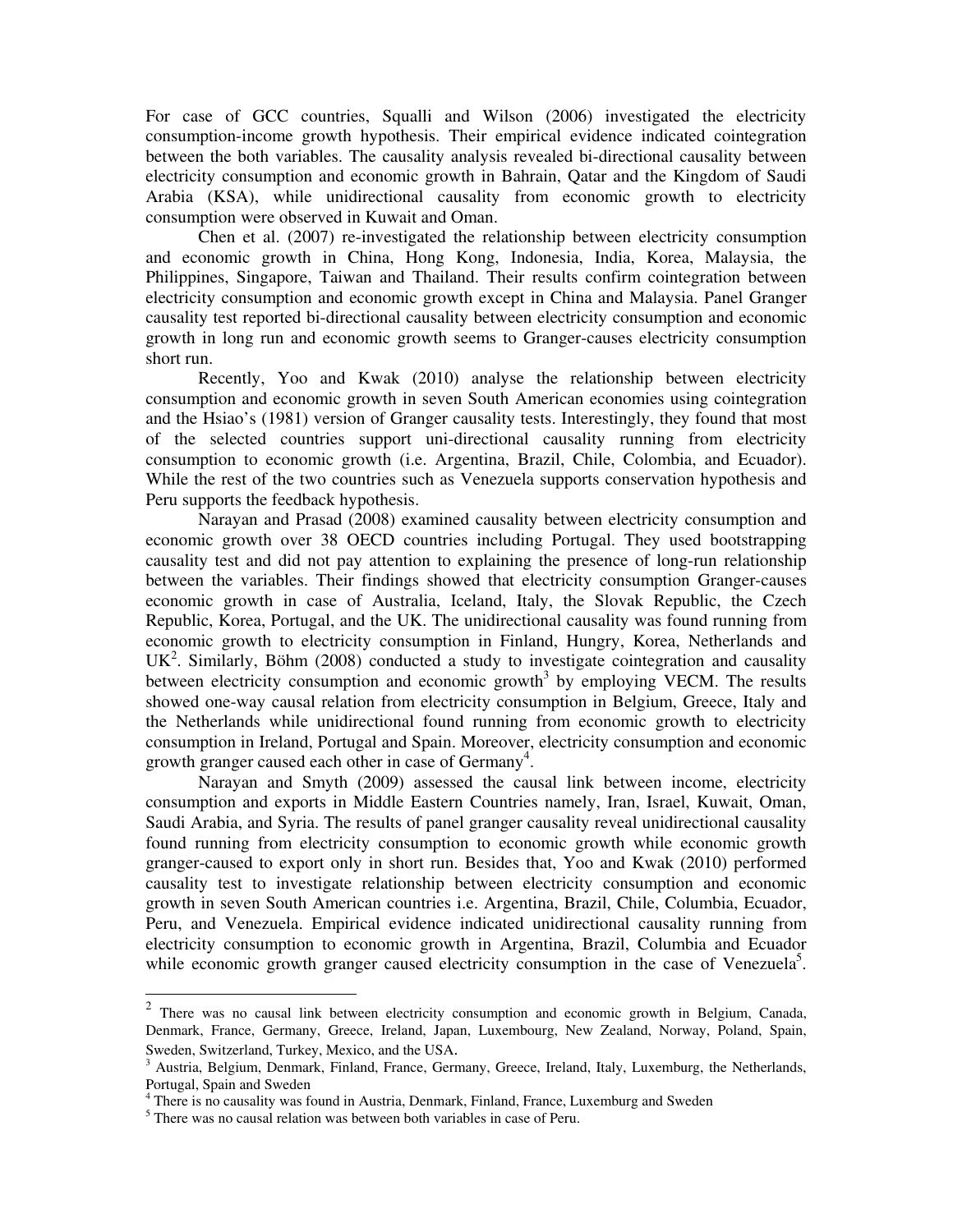For case of GCC countries, Squalli and Wilson (2006) investigated the electricity consumption-income growth hypothesis. Their empirical evidence indicated cointegration between the both variables. The causality analysis revealed bi-directional causality between electricity consumption and economic growth in Bahrain, Qatar and the Kingdom of Saudi Arabia (KSA), while unidirectional causality from economic growth to electricity consumption were observed in Kuwait and Oman.

Chen et al. (2007) re-investigated the relationship between electricity consumption and economic growth in China, Hong Kong, Indonesia, India, Korea, Malaysia, the Philippines, Singapore, Taiwan and Thailand. Their results confirm cointegration between electricity consumption and economic growth except in China and Malaysia. Panel Granger causality test reported bi-directional causality between electricity consumption and economic growth in long run and economic growth seems to Granger-causes electricity consumption short run.

Recently, Yoo and Kwak (2010) analyse the relationship between electricity consumption and economic growth in seven South American economies using cointegration and the Hsiao's (1981) version of Granger causality tests. Interestingly, they found that most of the selected countries support uni-directional causality running from electricity consumption to economic growth (i.e. Argentina, Brazil, Chile, Colombia, and Ecuador). While the rest of the two countries such as Venezuela supports conservation hypothesis and Peru supports the feedback hypothesis.

Narayan and Prasad (2008) examined causality between electricity consumption and economic growth over 38 OECD countries including Portugal. They used bootstrapping causality test and did not pay attention to explaining the presence of long-run relationship between the variables. Their findings showed that electricity consumption Granger-causes economic growth in case of Australia, Iceland, Italy, the Slovak Republic, the Czech Republic, Korea, Portugal, and the UK. The unidirectional causality was found running from economic growth to electricity consumption in Finland, Hungry, Korea, Netherlands and  $UK<sup>2</sup>$ . Similarly, Böhm (2008) conducted a study to investigate cointegration and causality between electricity consumption and economic growth<sup>3</sup> by employing VECM. The results showed one-way causal relation from electricity consumption in Belgium, Greece, Italy and the Netherlands while unidirectional found running from economic growth to electricity consumption in Ireland, Portugal and Spain. Moreover, electricity consumption and economic growth granger caused each other in case of Germany<sup>4</sup>.

Narayan and Smyth (2009) assessed the causal link between income, electricity consumption and exports in Middle Eastern Countries namely, Iran, Israel, Kuwait, Oman, Saudi Arabia, and Syria. The results of panel granger causality reveal unidirectional causality found running from electricity consumption to economic growth while economic growth granger-caused to export only in short run. Besides that, Yoo and Kwak (2010) performed causality test to investigate relationship between electricity consumption and economic growth in seven South American countries i.e. Argentina, Brazil, Chile, Columbia, Ecuador, Peru, and Venezuela. Empirical evidence indicated unidirectional causality running from electricity consumption to economic growth in Argentina, Brazil, Columbia and Ecuador while economic growth granger caused electricity consumption in the case of Venezuela<sup>5</sup>.

<sup>&</sup>lt;sup>2</sup> There was no causal link between electricity consumption and economic growth in Belgium, Canada, Denmark, France, Germany, Greece, Ireland, Japan, Luxembourg, New Zealand, Norway, Poland, Spain, Sweden, Switzerland, Turkey, Mexico, and the USA.

<sup>&</sup>lt;sup>3</sup> Austria, Belgium, Denmark, Finland, France, Germany, Greece, Ireland, Italy, Luxemburg, the Netherlands, Portugal, Spain and Sweden

<sup>&</sup>lt;sup>4</sup> There is no causality was found in Austria, Denmark, Finland, France, Luxemburg and Sweden

<sup>&</sup>lt;sup>5</sup> There was no causal relation was between both variables in case of Peru.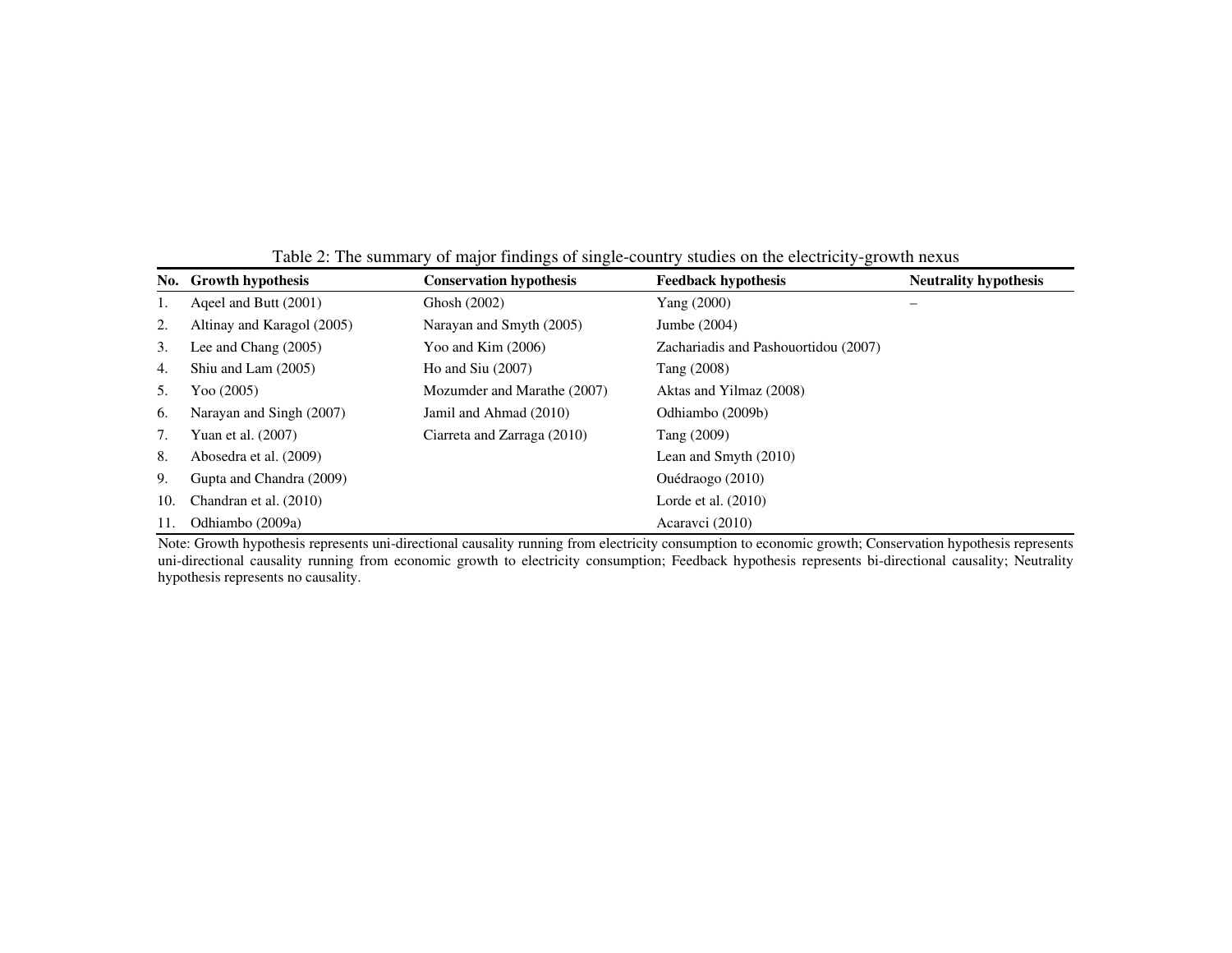|     | No. Growth hypothesis      | <b>Conservation hypothesis</b> | <b>Feedback hypothesis</b>           | <b>Neutrality hypothesis</b> |
|-----|----------------------------|--------------------------------|--------------------------------------|------------------------------|
| 1.  | Ageel and Butt (2001)      | Ghosh (2002)                   | Yang (2000)                          | —                            |
| 2.  | Altinay and Karagol (2005) | Narayan and Smyth (2005)       | Jumbe (2004)                         |                              |
| 3.  | Lee and Chang $(2005)$     | Yoo and Kim $(2006)$           | Zachariadis and Pashouortidou (2007) |                              |
| 4.  | Shiu and Lam (2005)        | Ho and $Siu(2007)$             | Tang (2008)                          |                              |
| 5.  | Yoo (2005)                 | Mozumder and Marathe (2007)    | Aktas and Yilmaz (2008)              |                              |
| 6.  | Narayan and Singh (2007)   | Jamil and Ahmad (2010)         | Odhiambo (2009b)                     |                              |
| 7.  | Yuan et al. (2007)         | Ciarreta and Zarraga (2010)    | Tang (2009)                          |                              |
| 8.  | Abosedra et al. (2009)     |                                | Lean and Smyth (2010)                |                              |
| 9.  | Gupta and Chandra (2009)   |                                | Ouédraogo (2010)                     |                              |
| 10. | Chandran et al. (2010)     |                                | Lorde et al. $(2010)$                |                              |
| 11. | Odhiambo (2009a)           |                                | Acaravci (2010)                      |                              |

Table 2: The summary of major findings of single-country studies on the electricity-growth nexus

Note: Growth hypothesis represents uni-directional causality running from electricity consumption to economic growth; Conservation hypothesis represents uni-directional causality running from economic growth to electricity consumption; Feedback hypothesis represents bi-directional causality; Neutrality hypothesis represents no causality.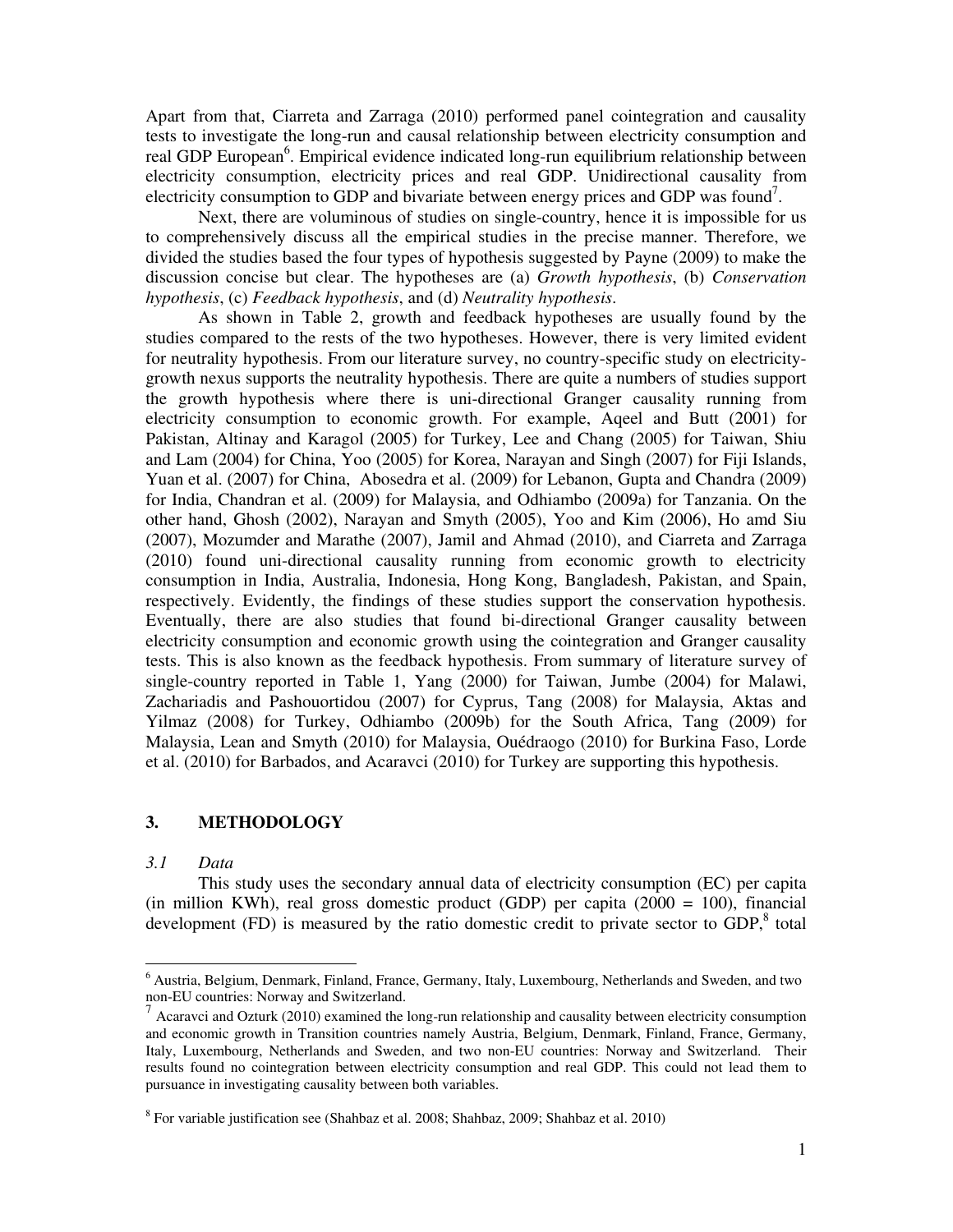Apart from that, Ciarreta and Zarraga (2010) performed panel cointegration and causality tests to investigate the long-run and causal relationship between electricity consumption and real GDP European<sup>6</sup>. Empirical evidence indicated long-run equilibrium relationship between electricity consumption, electricity prices and real GDP. Unidirectional causality from electricity consumption to GDP and bivariate between energy prices and GDP was found<sup>7</sup>.

Next, there are voluminous of studies on single-country, hence it is impossible for us to comprehensively discuss all the empirical studies in the precise manner. Therefore, we divided the studies based the four types of hypothesis suggested by Payne (2009) to make the discussion concise but clear. The hypotheses are (a) *Growth hypothesis*, (b) *Conservation hypothesis*, (c) *Feedback hypothesis*, and (d) *Neutrality hypothesis*.

As shown in Table 2, growth and feedback hypotheses are usually found by the studies compared to the rests of the two hypotheses. However, there is very limited evident for neutrality hypothesis. From our literature survey, no country-specific study on electricitygrowth nexus supports the neutrality hypothesis. There are quite a numbers of studies support the growth hypothesis where there is uni-directional Granger causality running from electricity consumption to economic growth. For example, Aqeel and Butt (2001) for Pakistan, Altinay and Karagol (2005) for Turkey, Lee and Chang (2005) for Taiwan, Shiu and Lam (2004) for China, Yoo (2005) for Korea, Narayan and Singh (2007) for Fiji Islands, Yuan et al. (2007) for China, Abosedra et al. (2009) for Lebanon, Gupta and Chandra (2009) for India, Chandran et al. (2009) for Malaysia, and Odhiambo (2009a) for Tanzania. On the other hand, Ghosh (2002), Narayan and Smyth (2005), Yoo and Kim (2006), Ho amd Siu (2007), Mozumder and Marathe (2007), Jamil and Ahmad (2010), and Ciarreta and Zarraga (2010) found uni-directional causality running from economic growth to electricity consumption in India, Australia, Indonesia, Hong Kong, Bangladesh, Pakistan, and Spain, respectively. Evidently, the findings of these studies support the conservation hypothesis. Eventually, there are also studies that found bi-directional Granger causality between electricity consumption and economic growth using the cointegration and Granger causality tests. This is also known as the feedback hypothesis. From summary of literature survey of single-country reported in Table 1, Yang (2000) for Taiwan, Jumbe (2004) for Malawi, Zachariadis and Pashouortidou (2007) for Cyprus, Tang (2008) for Malaysia, Aktas and Yilmaz (2008) for Turkey, Odhiambo (2009b) for the South Africa, Tang (2009) for Malaysia, Lean and Smyth (2010) for Malaysia, Ouédraogo (2010) for Burkina Faso, Lorde et al. (2010) for Barbados, and Acaravci (2010) for Turkey are supporting this hypothesis.

## **3. METHODOLOGY**

#### *3.1 Data*

 $\overline{a}$ 

This study uses the secondary annual data of electricity consumption (EC) per capita (in million KWh), real gross domestic product (GDP) per capita (2000 = 100), financial development  $(FD)$  is measured by the ratio domestic credit to private sector to GDP, $8$  total

<sup>&</sup>lt;sup>6</sup> Austria, Belgium, Denmark, Finland, France, Germany, Italy, Luxembourg, Netherlands and Sweden, and two non-EU countries: Norway and Switzerland.

 $^7$  Acaravci and Ozturk (2010) examined the long-run relationship and causality between electricity consumption and economic growth in Transition countries namely Austria, Belgium, Denmark, Finland, France, Germany, Italy, Luxembourg, Netherlands and Sweden, and two non-EU countries: Norway and Switzerland. Their results found no cointegration between electricity consumption and real GDP. This could not lead them to pursuance in investigating causality between both variables.

<sup>&</sup>lt;sup>8</sup> For variable justification see (Shahbaz et al. 2008; Shahbaz, 2009; Shahbaz et al. 2010)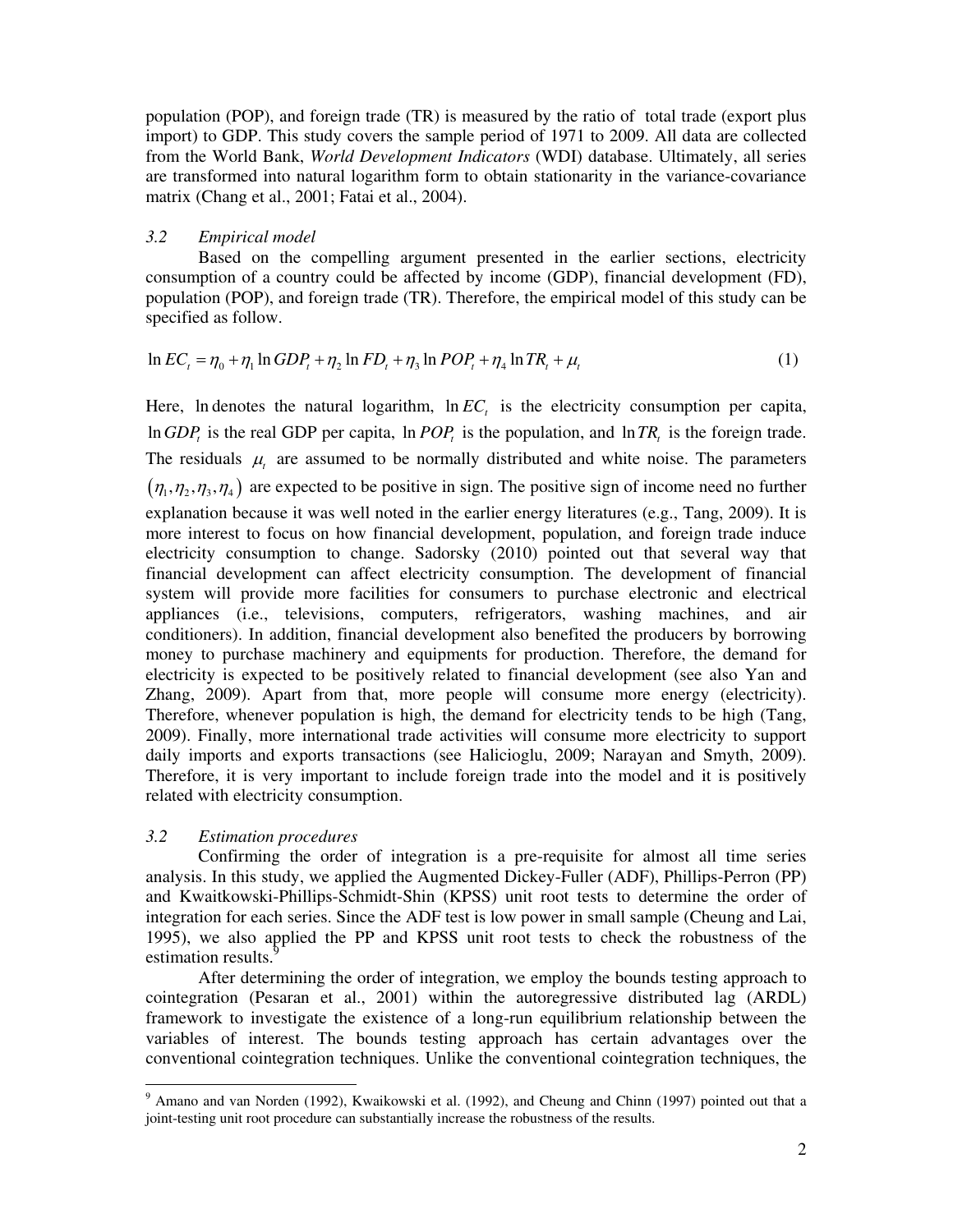population (POP), and foreign trade (TR) is measured by the ratio of total trade (export plus import) to GDP. This study covers the sample period of 1971 to 2009. All data are collected from the World Bank, *World Development Indicators* (WDI) database. Ultimately, all series are transformed into natural logarithm form to obtain stationarity in the variance-covariance matrix (Chang et al., 2001; Fatai et al., 2004).

#### *3.2 Empirical model*

Based on the compelling argument presented in the earlier sections, electricity consumption of a country could be affected by income (GDP), financial development (FD), population (POP), and foreign trade (TR). Therefore, the empirical model of this study can be specified as follow.

$$
\ln EC_{t} = \eta_{0} + \eta_{1} \ln GDP_{t} + \eta_{2} \ln FD_{t} + \eta_{3} \ln POP_{t} + \eta_{4} \ln TR_{t} + \mu_{t}
$$
\n(1)

Here, In denotes the natural logarithm,  $\ln EC<sub>t</sub>$  is the electricity consumption per capita,  $\ln GDP_t$  is the real GDP per capita,  $\ln POP_t$  is the population, and  $\ln TR_t$  is the foreign trade. The residuals  $\mu$  are assumed to be normally distributed and white noise. The parameters  $(\eta_1, \eta_2, \eta_3, \eta_4)$  are expected to be positive in sign. The positive sign of income need no further explanation because it was well noted in the earlier energy literatures (e.g., Tang, 2009). It is more interest to focus on how financial development, population, and foreign trade induce electricity consumption to change. Sadorsky (2010) pointed out that several way that financial development can affect electricity consumption. The development of financial system will provide more facilities for consumers to purchase electronic and electrical appliances (i.e., televisions, computers, refrigerators, washing machines, and air conditioners). In addition, financial development also benefited the producers by borrowing money to purchase machinery and equipments for production. Therefore, the demand for electricity is expected to be positively related to financial development (see also Yan and Zhang, 2009). Apart from that, more people will consume more energy (electricity). Therefore, whenever population is high, the demand for electricity tends to be high (Tang, 2009). Finally, more international trade activities will consume more electricity to support daily imports and exports transactions (see Halicioglu, 2009; Narayan and Smyth, 2009). Therefore, it is very important to include foreign trade into the model and it is positively related with electricity consumption.

#### *3.2 Estimation procedures*

 $\overline{a}$ 

Confirming the order of integration is a pre-requisite for almost all time series analysis. In this study, we applied the Augmented Dickey-Fuller (ADF), Phillips-Perron (PP) and Kwaitkowski-Phillips-Schmidt-Shin (KPSS) unit root tests to determine the order of integration for each series. Since the ADF test is low power in small sample (Cheung and Lai, 1995), we also applied the PP and KPSS unit root tests to check the robustness of the estimation results.

After determining the order of integration, we employ the bounds testing approach to cointegration (Pesaran et al., 2001) within the autoregressive distributed lag (ARDL) framework to investigate the existence of a long-run equilibrium relationship between the variables of interest. The bounds testing approach has certain advantages over the conventional cointegration techniques. Unlike the conventional cointegration techniques, the

<sup>&</sup>lt;sup>9</sup> Amano and van Norden (1992), Kwaikowski et al. (1992), and Cheung and Chinn (1997) pointed out that a joint-testing unit root procedure can substantially increase the robustness of the results.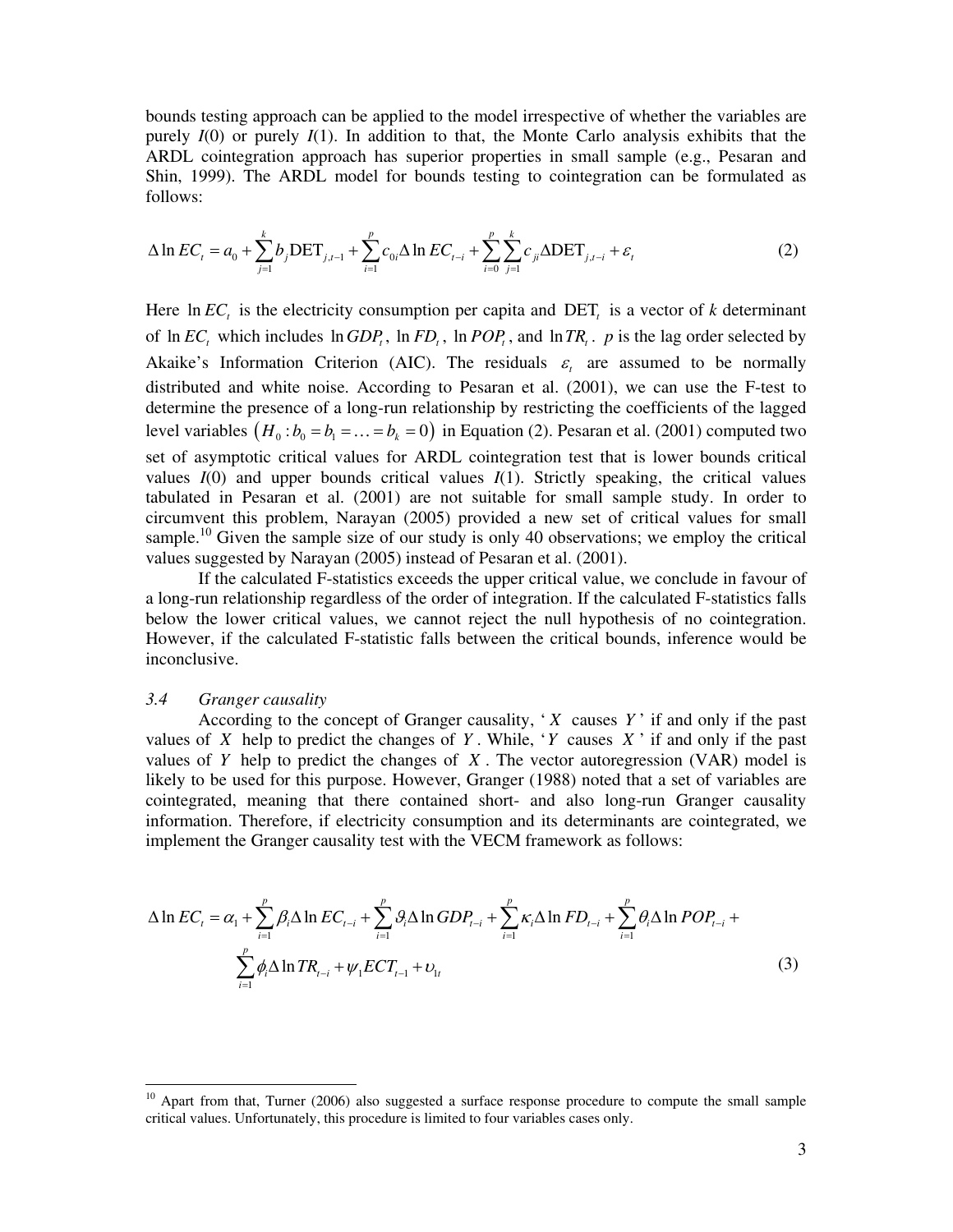bounds testing approach can be applied to the model irrespective of whether the variables are purely *I*(0) or purely *I*(1). In addition to that, the Monte Carlo analysis exhibits that the ARDL cointegration approach has superior properties in small sample (e.g., Pesaran and Shin, 1999). The ARDL model for bounds testing to cointegration can be formulated as follows:

$$
\Delta \ln EC_{t} = a_{0} + \sum_{j=1}^{k} b_{j} \text{DET}_{j,t-1} + \sum_{i=1}^{p} c_{0i} \Delta \ln EC_{t-i} + \sum_{i=0}^{p} \sum_{j=1}^{k} c_{ji} \Delta \text{DET}_{j,t-i} + \varepsilon_{t}
$$
(2)

Here  $\ln EC_t$  is the electricity consumption per capita and DET<sub>t</sub> is a vector of *k* determinant of  $\ln EC_t$ , which includes  $\ln GDP_t$ ,  $\ln FD_t$ ,  $\ln POP_t$ , and  $\ln TR_t$ . *p* is the lag order selected by Akaike's Information Criterion (AIC). The residuals  $\varepsilon$  are assumed to be normally distributed and white noise. According to Pesaran et al. (2001), we can use the F-test to determine the presence of a long-run relationship by restricting the coefficients of the lagged level variables  $(H_0 : b_0 = b_1 = ... = b_k = 0)$  in Equation (2). Pesaran et al. (2001) computed two set of asymptotic critical values for ARDL cointegration test that is lower bounds critical values  $I(0)$  and upper bounds critical values  $I(1)$ . Strictly speaking, the critical values tabulated in Pesaran et al. (2001) are not suitable for small sample study. In order to circumvent this problem, Narayan (2005) provided a new set of critical values for small sample.<sup>10</sup> Given the sample size of our study is only 40 observations; we employ the critical values suggested by Narayan (2005) instead of Pesaran et al. (2001).

If the calculated F-statistics exceeds the upper critical value, we conclude in favour of a long-run relationship regardless of the order of integration. If the calculated F-statistics falls below the lower critical values, we cannot reject the null hypothesis of no cointegration. However, if the calculated F-statistic falls between the critical bounds, inference would be inconclusive.

#### *3.4 Granger causality*

 $\overline{a}$ 

According to the concept of Granger causality,  $X$  causes  $Y'$  if and only if the past values of *X* help to predict the changes of *Y*. While, '*Y* causes *X* ' if and only if the past values of *Y* help to predict the changes of *X* . The vector autoregression (VAR) model is likely to be used for this purpose. However, Granger (1988) noted that a set of variables are cointegrated, meaning that there contained short- and also long-run Granger causality information. Therefore, if electricity consumption and its determinants are cointegrated, we implement the Granger causality test with the VECM framework as follows:

$$
\Delta \ln EC_{t} = \alpha_{1} + \sum_{i=1}^{p} \beta_{i} \Delta \ln EC_{t-i} + \sum_{i=1}^{p} \beta_{i} \Delta \ln GDP_{t-i} + \sum_{i=1}^{p} \kappa_{i} \Delta \ln FD_{t-i} + \sum_{i=1}^{p} \theta_{i} \Delta \ln POP_{t-i} + \sum_{i=1}^{p} \phi_{i} \Delta \ln TR_{t-i} + \psi_{1} ECT_{t-1} + \upsilon_{1t}
$$
\n(3)

 $10$  Apart from that, Turner (2006) also suggested a surface response procedure to compute the small sample critical values. Unfortunately, this procedure is limited to four variables cases only.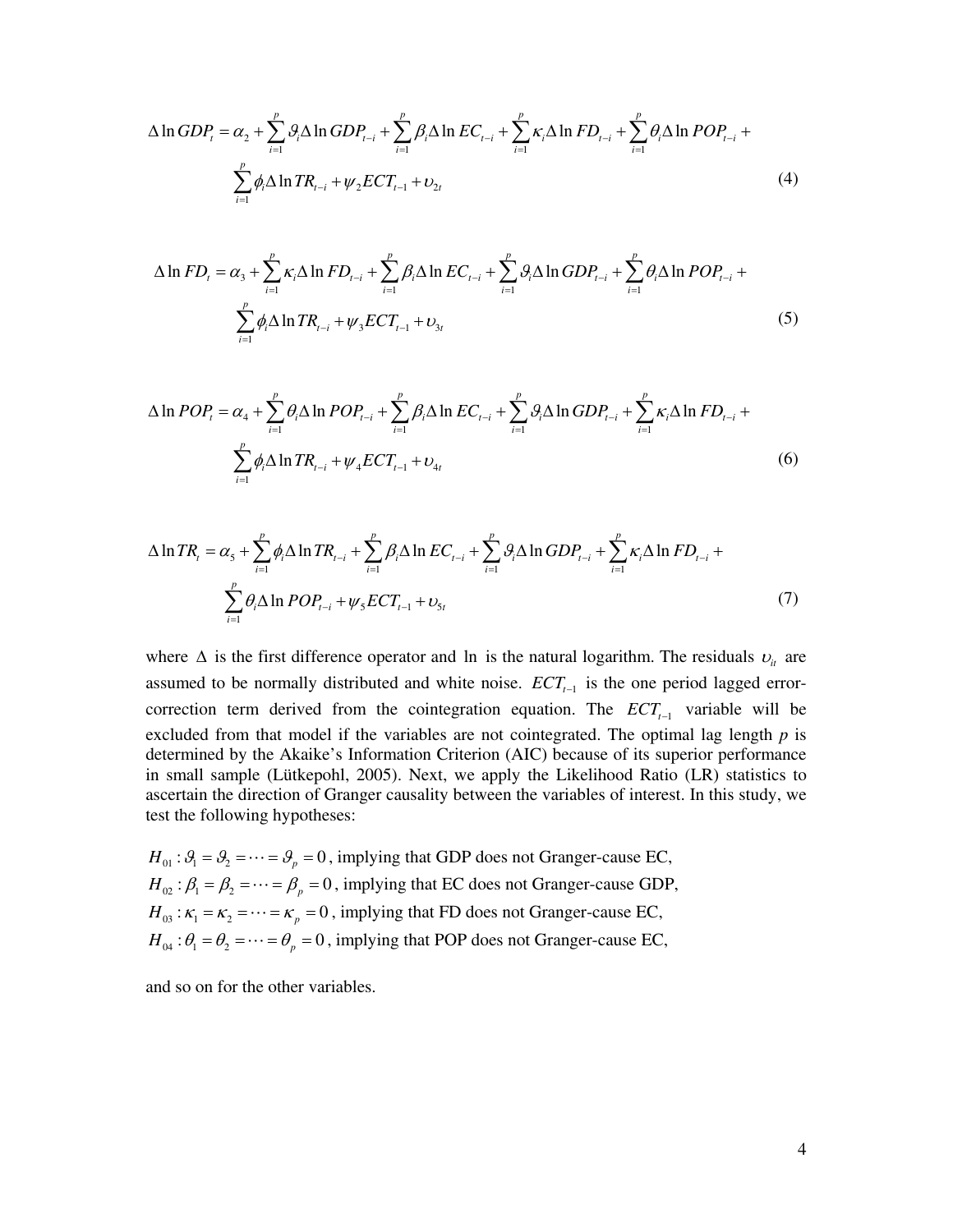$$
\Delta \ln GDP_{t} = \alpha_{2} + \sum_{i=1}^{p} \mathcal{G}_{i} \Delta \ln GDP_{t-i} + \sum_{i=1}^{p} \beta_{i} \Delta \ln EC_{t-i} + \sum_{i=1}^{p} \kappa_{i} \Delta \ln FD_{t-i} + \sum_{i=1}^{p} \theta_{i} \Delta \ln POP_{t-i} + \sum_{i=1}^{p} \phi_{i} \Delta \ln TR_{t-i} + \psi_{2} ECT_{t-1} + \upsilon_{2t}
$$
\n(4)

$$
\Delta \ln FD_{t} = \alpha_{3} + \sum_{i=1}^{p} \kappa_{i} \Delta \ln FD_{t-i} + \sum_{i=1}^{p} \beta_{i} \Delta \ln EC_{t-i} + \sum_{i=1}^{p} \vartheta_{i} \Delta \ln GDP_{t-i} + \sum_{i=1}^{p} \theta_{i} \Delta \ln POP_{t-i} + \sum_{i=1}^{p} \phi_{i} \Delta \ln TR_{t-i} + \psi_{3} ECT_{t-1} + \upsilon_{3t}
$$
\n(5)

$$
\Delta \ln POP_{t} = \alpha_{4} + \sum_{i=1}^{p} \theta_{i} \Delta \ln POP_{t-i} + \sum_{i=1}^{p} \beta_{i} \Delta \ln EC_{t-i} + \sum_{i=1}^{p} \theta_{i} \Delta \ln GDP_{t-i} + \sum_{i=1}^{p} \kappa_{i} \Delta \ln FD_{t-i} + \sum_{i=1}^{p} \phi_{i} \Delta \ln TR_{t-i} + \psi_{4} ECT_{t-1} + \nu_{4t}
$$
\n
$$
(6)
$$

$$
\Delta \ln TR_{t} = \alpha_{5} + \sum_{i=1}^{p} \phi_{i} \Delta \ln TR_{t-i} + \sum_{i=1}^{p} \beta_{i} \Delta \ln EC_{t-i} + \sum_{i=1}^{p} \theta_{i} \Delta \ln GDP_{t-i} + \sum_{i=1}^{p} \kappa_{i} \Delta \ln FD_{t-i} + \sum_{i=1}^{p} \theta_{i} \Delta \ln POP_{t-i} + \psi_{5} ECT_{t-1} + \upsilon_{5t}
$$
\n(7)

where  $\Delta$  is the first difference operator and ln is the natural logarithm. The residuals  $v_i$  are assumed to be normally distributed and white noise.  $ECT_{t-1}$  is the one period lagged errorcorrection term derived from the cointegration equation. The  $ECT_{t-1}$  variable will be excluded from that model if the variables are not cointegrated. The optimal lag length *p* is determined by the Akaike's Information Criterion (AIC) because of its superior performance in small sample (Lütkepohl, 2005). Next, we apply the Likelihood Ratio (LR) statistics to ascertain the direction of Granger causality between the variables of interest. In this study, we test the following hypotheses:

 $H_{01}$ :  $\mathcal{G}_1 = \mathcal{G}_2 = \cdots = \mathcal{G}_p = 0$ , implying that GDP does not Granger-cause EC,  $H_{02}$ :  $\beta_1 = \beta_2 = \cdots = \beta_p = 0$ , implying that EC does not Granger-cause GDP,  $H_{03}$ :  $\kappa_1 = \kappa_2 = \cdots = \kappa_p = 0$ , implying that FD does not Granger-cause EC,  $H_{04}$ :  $\theta_1 = \theta_2 = \cdots = \theta_p = 0$ , implying that POP does not Granger-cause EC,

and so on for the other variables.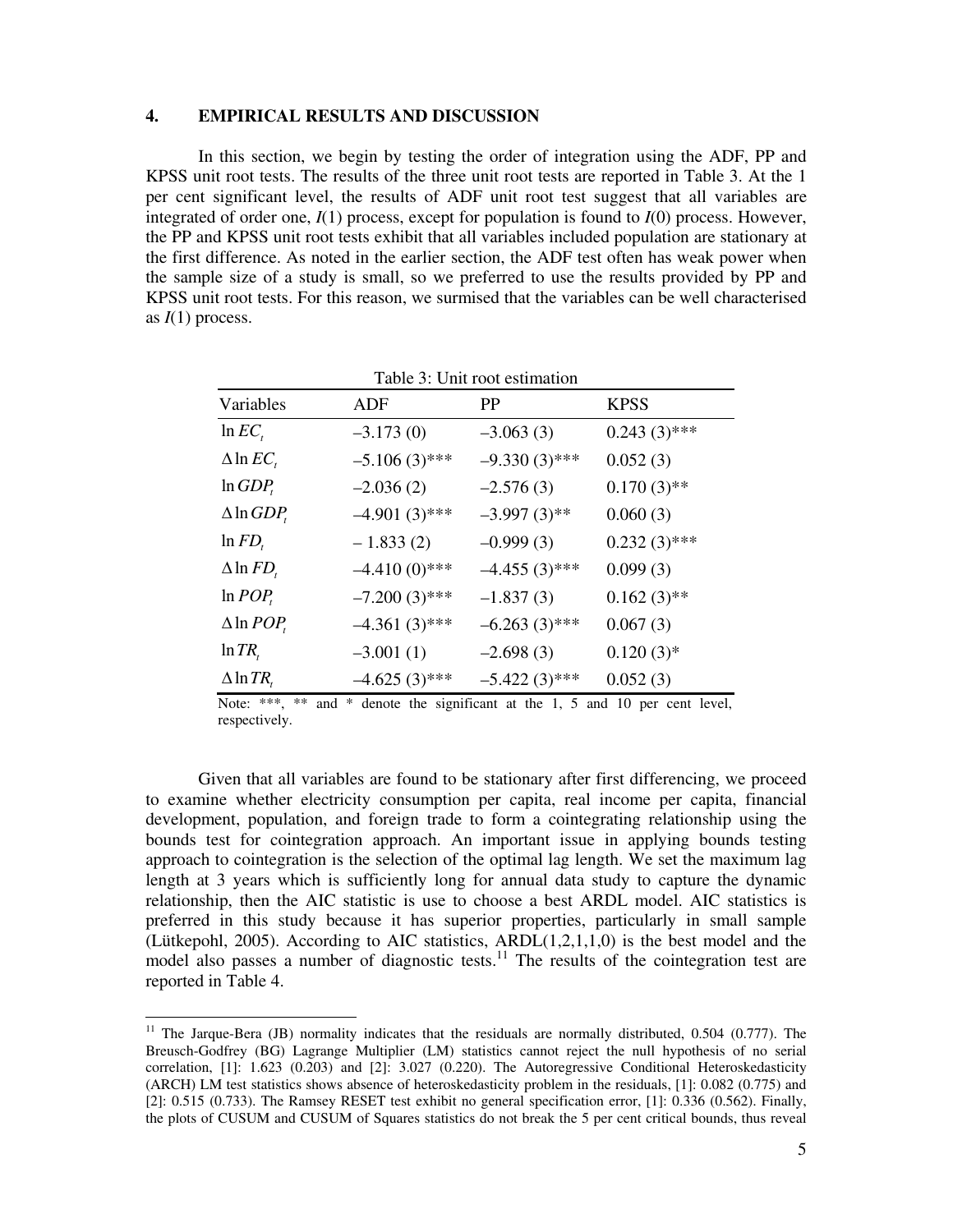#### **4. EMPIRICAL RESULTS AND DISCUSSION**

In this section, we begin by testing the order of integration using the ADF, PP and KPSS unit root tests. The results of the three unit root tests are reported in Table 3. At the 1 per cent significant level, the results of ADF unit root test suggest that all variables are integrated of order one, *I*(1) process, except for population is found to *I*(0) process. However, the PP and KPSS unit root tests exhibit that all variables included population are stationary at the first difference. As noted in the earlier section, the ADF test often has weak power when the sample size of a study is small, so we preferred to use the results provided by PP and KPSS unit root tests. For this reason, we surmised that the variables can be well characterised as  $I(1)$  process.

| raone si enni root estimation |                 |                 |                |  |  |
|-------------------------------|-----------------|-----------------|----------------|--|--|
| Variables                     | ADF             | PP              | <b>KPSS</b>    |  |  |
| $ln EC_{t}$                   | $-3.173(0)$     | $-3.063(3)$     | $0.243(3)$ *** |  |  |
| $\Delta$ ln $EC_{t}$          | $-5.106(3)$ *** | $-9.330(3)$ *** | 0.052(3)       |  |  |
| $ln GDP_t$                    | $-2.036(2)$     | $-2.576(3)$     | $0.170(3)$ **  |  |  |
| $\triangle$ ln <i>GDP</i> ,   | $-4.901(3)$ *** | $-3.997(3)$ **  | 0.060(3)       |  |  |
| $\ln FD_t$                    | $-1.833(2)$     | $-0.999(3)$     | $0.232(3)$ *** |  |  |
| $\Delta$ ln $FD_{t}$          | $-4.410(0)$ *** | $-4.455(3)$ *** | 0.099(3)       |  |  |
| $ln POP_t$                    | $-7.200(3)$ *** | $-1.837(3)$     | $0.162(3)$ **  |  |  |
| $\triangle$ ln <i>POP</i> ,   | $-4.361(3)$ *** | $-6.263(3)$ *** | 0.067(3)       |  |  |
| $\ln TR$                      | $-3.001(1)$     | $-2.698(3)$     | $0.120(3)*$    |  |  |
| $\triangle$ ln TR,            | $-4.625(3)$ *** | $-5.422(3)$ *** | 0.052(3)       |  |  |

Table 3: Unit root estimation

Note: \*\*\*, \*\* and \* denote the significant at the 1, 5 and 10 per cent level, respectively.

Given that all variables are found to be stationary after first differencing, we proceed to examine whether electricity consumption per capita, real income per capita, financial development, population, and foreign trade to form a cointegrating relationship using the bounds test for cointegration approach. An important issue in applying bounds testing approach to cointegration is the selection of the optimal lag length. We set the maximum lag length at 3 years which is sufficiently long for annual data study to capture the dynamic relationship, then the AIC statistic is use to choose a best ARDL model. AIC statistics is preferred in this study because it has superior properties, particularly in small sample (Lütkepohl, 2005). According to AIC statistics, ARDL(1,2,1,1,0) is the best model and the model also passes a number of diagnostic tests.<sup>11</sup> The results of the cointegration test are reported in Table 4.

 $\overline{a}$ 

 $11$  The Jarque-Bera (JB) normality indicates that the residuals are normally distributed, 0.504 (0.777). The Breusch-Godfrey (BG) Lagrange Multiplier (LM) statistics cannot reject the null hypothesis of no serial correlation, [1]: 1.623 (0.203) and [2]: 3.027 (0.220). The Autoregressive Conditional Heteroskedasticity (ARCH) LM test statistics shows absence of heteroskedasticity problem in the residuals, [1]: 0.082 (0.775) and [2]: 0.515 (0.733). The Ramsey RESET test exhibit no general specification error, [1]: 0.336 (0.562). Finally, the plots of CUSUM and CUSUM of Squares statistics do not break the 5 per cent critical bounds, thus reveal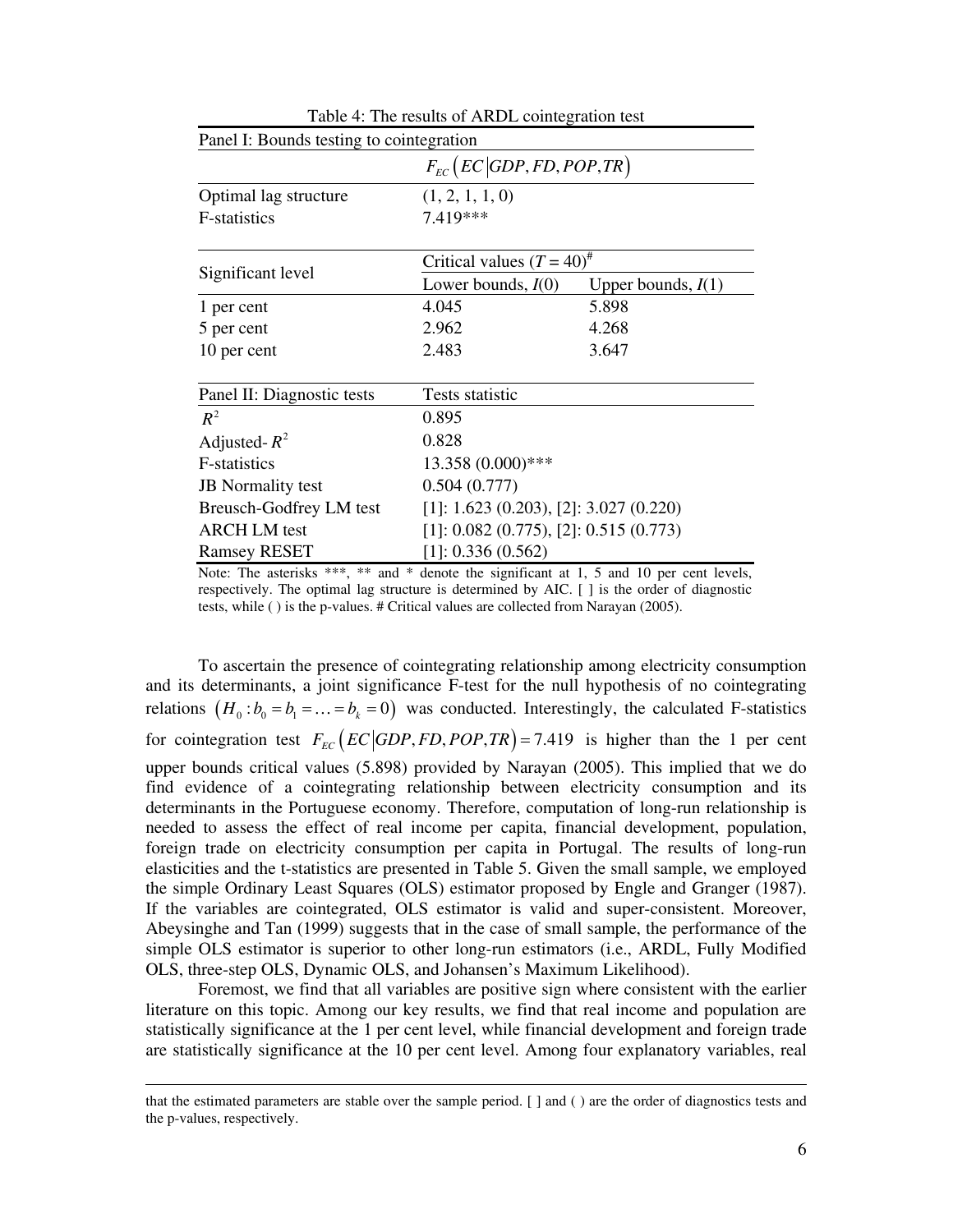| Panel I: Bounds testing to cointegration                       |                                          |                      |  |  |
|----------------------------------------------------------------|------------------------------------------|----------------------|--|--|
| $F_{EC}$ ( <i>EC</i> GDP, <i>FD</i> , <i>POP</i> , <i>TR</i> ) |                                          |                      |  |  |
| Optimal lag structure                                          | (1, 2, 1, 1, 0)                          |                      |  |  |
| F-statistics                                                   | 7.419***                                 |                      |  |  |
|                                                                | Critical values $(T = 40)^{\#}$          |                      |  |  |
| Significant level                                              | Lower bounds, $I(0)$                     | Upper bounds, $I(1)$ |  |  |
| 1 per cent                                                     | 4.045                                    | 5.898                |  |  |
| 5 per cent                                                     | 2.962                                    | 4.268                |  |  |
| 10 per cent                                                    | 2.483                                    | 3.647                |  |  |
| Panel II: Diagnostic tests                                     | Tests statistic                          |                      |  |  |
| $R^2$                                                          | 0.895                                    |                      |  |  |
| Adjusted- $R^2$                                                | 0.828                                    |                      |  |  |
| F-statistics                                                   | 13.358 (0.000)***                        |                      |  |  |
| <b>JB</b> Normality test                                       | 0.504(0.777)                             |                      |  |  |
| <b>Breusch-Godfrey LM test</b>                                 | $[1]: 1.623 (0.203), [2]: 3.027 (0.220)$ |                      |  |  |
| <b>ARCH LM</b> test                                            | $[1]: 0.082 (0.775), [2]: 0.515 (0.773)$ |                      |  |  |
| <b>Ramsey RESET</b>                                            | [1]: 0.336(0.562)                        |                      |  |  |

| Table 4: The results of ARDL cointegration test |  |
|-------------------------------------------------|--|
|-------------------------------------------------|--|

Note: The asterisks \*\*\*, \*\* and \* denote the significant at 1, 5 and 10 per cent levels, respectively. The optimal lag structure is determined by AIC. [ ] is the order of diagnostic tests, while ( ) is the p-values. # Critical values are collected from Narayan (2005).

To ascertain the presence of cointegrating relationship among electricity consumption and its determinants, a joint significance F-test for the null hypothesis of no cointegrating relations  $(H_0 : b_0 = b_1 = ... = b_k = 0)$  was conducted. Interestingly, the calculated F-statistics for cointegration test  $F_{EC} (EC | GDP, FD, POP, TR) = 7.419$  is higher than the 1 per cent upper bounds critical values (5.898) provided by Narayan (2005). This implied that we do find evidence of a cointegrating relationship between electricity consumption and its determinants in the Portuguese economy. Therefore, computation of long-run relationship is needed to assess the effect of real income per capita, financial development, population, foreign trade on electricity consumption per capita in Portugal. The results of long-run elasticities and the t-statistics are presented in Table 5. Given the small sample, we employed the simple Ordinary Least Squares (OLS) estimator proposed by Engle and Granger (1987). If the variables are cointegrated, OLS estimator is valid and super-consistent. Moreover, Abeysinghe and Tan (1999) suggests that in the case of small sample, the performance of the simple OLS estimator is superior to other long-run estimators (i.e., ARDL, Fully Modified OLS, three-step OLS, Dynamic OLS, and Johansen's Maximum Likelihood).

Foremost, we find that all variables are positive sign where consistent with the earlier literature on this topic. Among our key results, we find that real income and population are statistically significance at the 1 per cent level, while financial development and foreign trade are statistically significance at the 10 per cent level. Among four explanatory variables, real

 $\overline{a}$ 

that the estimated parameters are stable over the sample period. [ ] and ( ) are the order of diagnostics tests and the p-values, respectively.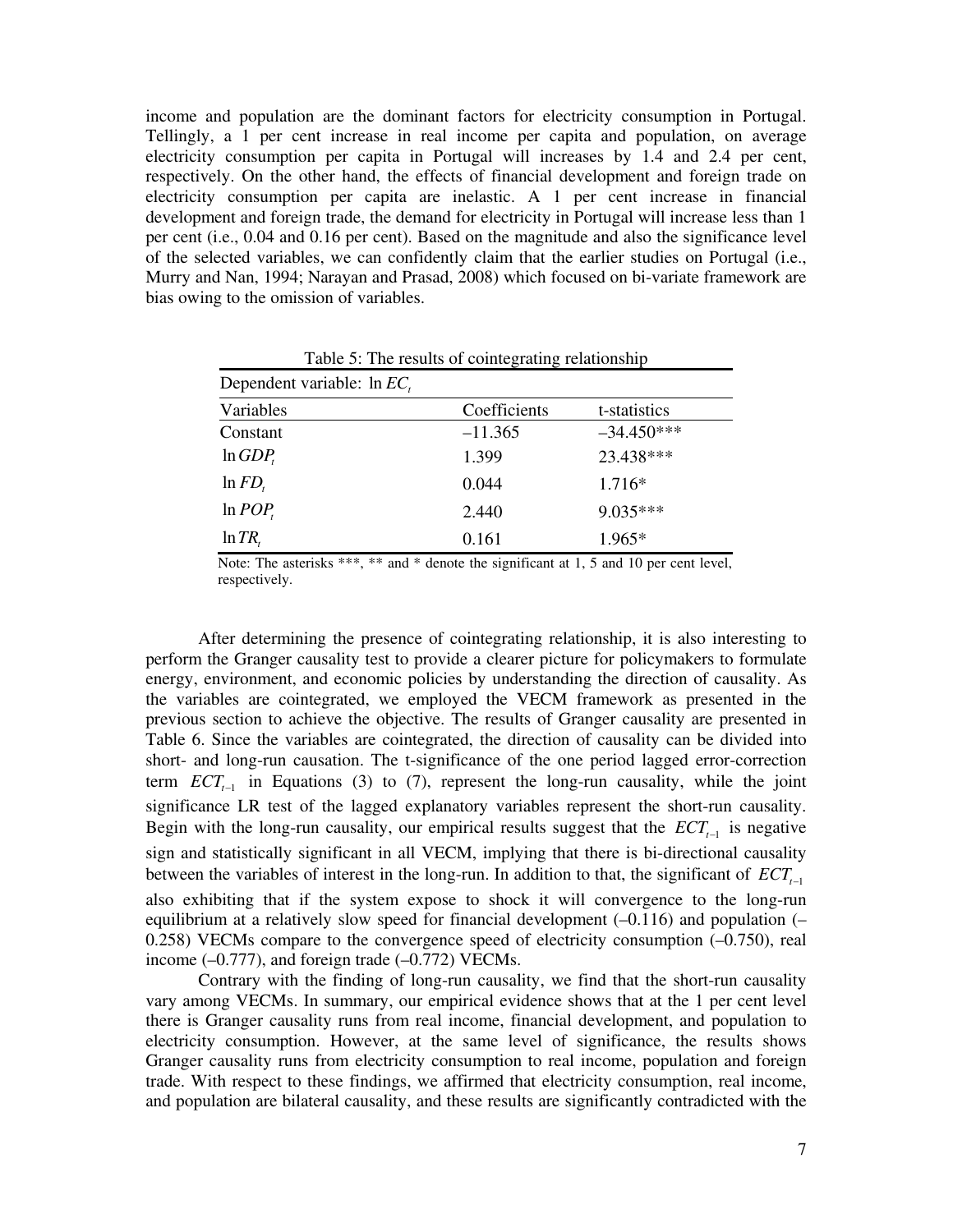income and population are the dominant factors for electricity consumption in Portugal. Tellingly, a 1 per cent increase in real income per capita and population, on average electricity consumption per capita in Portugal will increases by 1.4 and 2.4 per cent, respectively. On the other hand, the effects of financial development and foreign trade on electricity consumption per capita are inelastic. A 1 per cent increase in financial development and foreign trade, the demand for electricity in Portugal will increase less than 1 per cent (i.e., 0.04 and 0.16 per cent). Based on the magnitude and also the significance level of the selected variables, we can confidently claim that the earlier studies on Portugal (i.e., Murry and Nan, 1994; Narayan and Prasad, 2008) which focused on bi-variate framework are bias owing to the omission of variables.

| Dependent variable: $\ln EC_{i}$ |              |              |  |  |  |
|----------------------------------|--------------|--------------|--|--|--|
| Variables                        | Coefficients | t-statistics |  |  |  |
| Constant                         | $-11.365$    | $-34.450***$ |  |  |  |
| $ln GDP_r$                       | 1.399        | 23.438***    |  |  |  |
| $\ln FD$ ,                       | 0.044        | $1.716*$     |  |  |  |
| ln POP                           | 2.440        | $9.035***$   |  |  |  |
| $\ln TR$                         | 0.161        | 1.965*       |  |  |  |

Table 5: The results of cointegrating relationship

Note: The asterisks \*\*\*, \*\* and \* denote the significant at 1, 5 and 10 per cent level, respectively.

After determining the presence of cointegrating relationship, it is also interesting to perform the Granger causality test to provide a clearer picture for policymakers to formulate energy, environment, and economic policies by understanding the direction of causality. As the variables are cointegrated, we employed the VECM framework as presented in the previous section to achieve the objective. The results of Granger causality are presented in Table 6. Since the variables are cointegrated, the direction of causality can be divided into short- and long-run causation. The t-significance of the one period lagged error-correction term  $ECT_{t-1}$  in Equations (3) to (7), represent the long-run causality, while the joint significance LR test of the lagged explanatory variables represent the short-run causality. Begin with the long-run causality, our empirical results suggest that the  $\mathit{ECT}_{t-1}$  is negative sign and statistically significant in all VECM, implying that there is bi-directional causality between the variables of interest in the long-run. In addition to that, the significant of  $ECT_{t}$ <sup>1</sup> also exhibiting that if the system expose to shock it will convergence to the long-run equilibrium at a relatively slow speed for financial development (–0.116) and population (–  $0.258$ ) VECMs compare to the convergence speed of electricity consumption  $(-0.750)$ , real income  $(-0.777)$ , and foreign trade  $(-0.772)$  VECMs.

Contrary with the finding of long-run causality, we find that the short-run causality vary among VECMs. In summary, our empirical evidence shows that at the 1 per cent level there is Granger causality runs from real income, financial development, and population to electricity consumption. However, at the same level of significance, the results shows Granger causality runs from electricity consumption to real income, population and foreign trade. With respect to these findings, we affirmed that electricity consumption, real income, and population are bilateral causality, and these results are significantly contradicted with the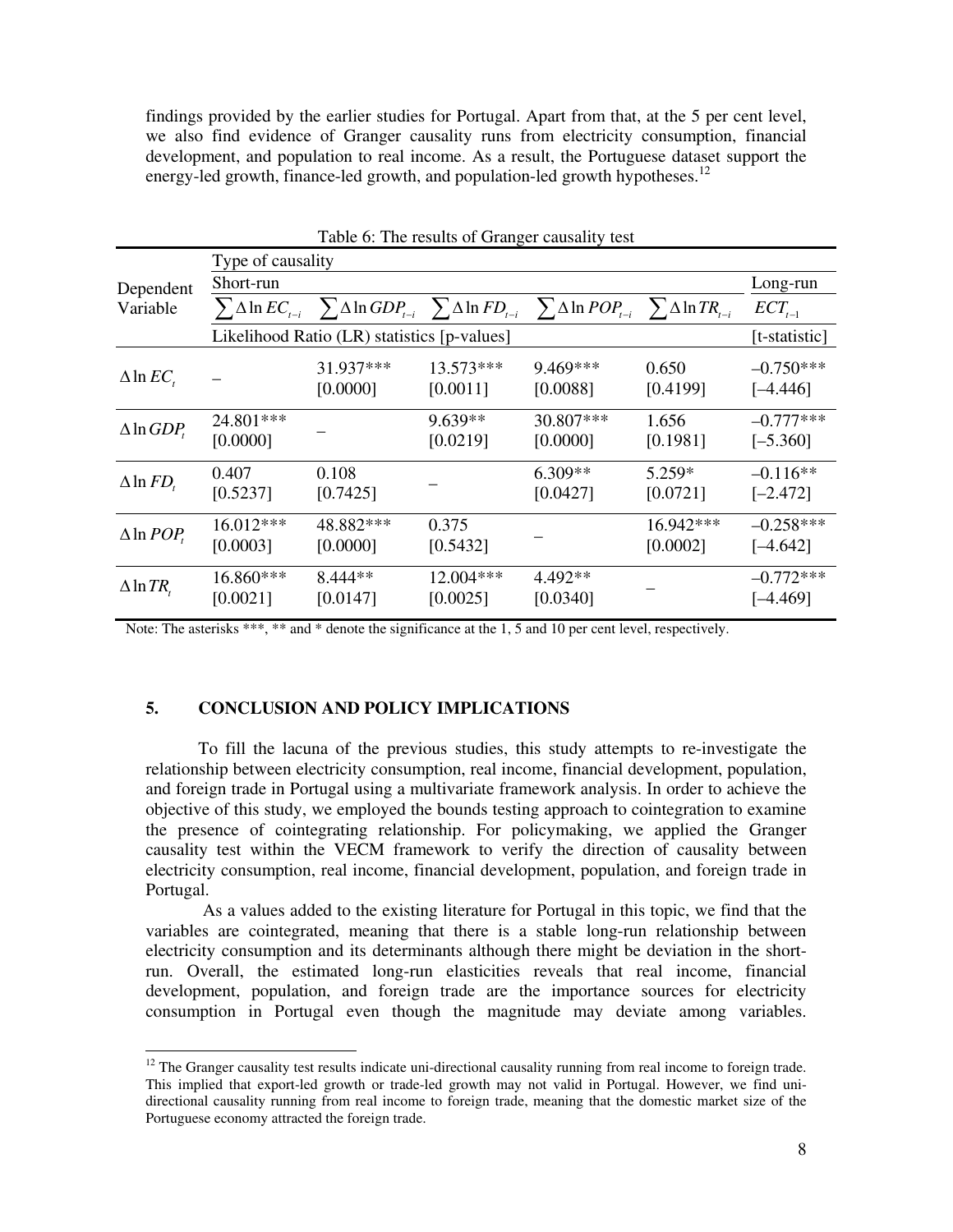findings provided by the earlier studies for Portugal. Apart from that, at the 5 per cent level, we also find evidence of Granger causality runs from electricity consumption, financial development, and population to real income. As a result, the Portuguese dataset support the energy-led growth, finance-led growth, and population-led growth hypotheses.<sup>12</sup>

|                          |                                             |                       |                       | Table 6: The results of Granger causality test                                                                                                  |                       |                           |  |
|--------------------------|---------------------------------------------|-----------------------|-----------------------|-------------------------------------------------------------------------------------------------------------------------------------------------|-----------------------|---------------------------|--|
|                          | Type of causality                           |                       |                       |                                                                                                                                                 |                       |                           |  |
| Dependent                | Short-run                                   |                       |                       |                                                                                                                                                 |                       |                           |  |
| Variable                 |                                             |                       |                       | $\sum \Delta \ln EC_{_{t-i}} \sum \Delta \ln GDP_{_{t-i}} \sum \Delta \ln FD_{_{t-i}} \sum \Delta \ln POP_{_{t-i}} \sum \Delta \ln TR_{_{t-i}}$ |                       | $ECT_{t-1}$               |  |
|                          | Likelihood Ratio (LR) statistics [p-values] |                       |                       |                                                                                                                                                 |                       |                           |  |
| $\Delta$ ln EC,          |                                             | 31.937***<br>[0.0000] | 13.573***<br>[0.0011] | $9.469***$<br>[0.0088]                                                                                                                          | 0.650<br>[0.4199]     | $-0.750***$<br>$[-4.446]$ |  |
| $\Delta$ ln <i>GDP</i> , | 24.801***<br>[0.0000]                       |                       | $9.639**$<br>[0.0219] | 30.807***<br>[0.0000]                                                                                                                           | 1.656<br>[0.1981]     | $-0.777***$<br>$[-5.360]$ |  |
| $\Delta$ ln $FD_{t}$     | 0.407<br>[0.5237]                           | 0.108<br>[0.7425]     |                       | $6.309**$<br>[0.0427]                                                                                                                           | 5.259*<br>[0.0721]    | $-0.116**$<br>$[-2.472]$  |  |
| $\Delta$ ln <i>POP</i>   | 16.012***<br>[0.0003]                       | 48.882***<br>[0.0000] | 0.375<br>[0.5432]     |                                                                                                                                                 | 16.942***<br>[0.0002] | $-0.258***$<br>$[-4.642]$ |  |
| $\Delta$ ln TR,          | 16.860***<br>[0.0021]                       | $8.444**$<br>[0.0147] | 12.004***<br>[0.0025] | $4.492**$<br>[0.0340]                                                                                                                           |                       | $-0.772***$<br>[-4.469]   |  |

Note: The asterisks \*\*\*, \*\* and \* denote the significance at the 1, 5 and 10 per cent level, respectively.

#### **5. CONCLUSION AND POLICY IMPLICATIONS**

 $\overline{a}$ 

To fill the lacuna of the previous studies, this study attempts to re-investigate the relationship between electricity consumption, real income, financial development, population, and foreign trade in Portugal using a multivariate framework analysis. In order to achieve the objective of this study, we employed the bounds testing approach to cointegration to examine the presence of cointegrating relationship. For policymaking, we applied the Granger causality test within the VECM framework to verify the direction of causality between electricity consumption, real income, financial development, population, and foreign trade in Portugal.

 As a values added to the existing literature for Portugal in this topic, we find that the variables are cointegrated, meaning that there is a stable long-run relationship between electricity consumption and its determinants although there might be deviation in the shortrun. Overall, the estimated long-run elasticities reveals that real income, financial development, population, and foreign trade are the importance sources for electricity consumption in Portugal even though the magnitude may deviate among variables.

 $12$  The Granger causality test results indicate uni-directional causality running from real income to foreign trade. This implied that export-led growth or trade-led growth may not valid in Portugal. However, we find unidirectional causality running from real income to foreign trade, meaning that the domestic market size of the Portuguese economy attracted the foreign trade.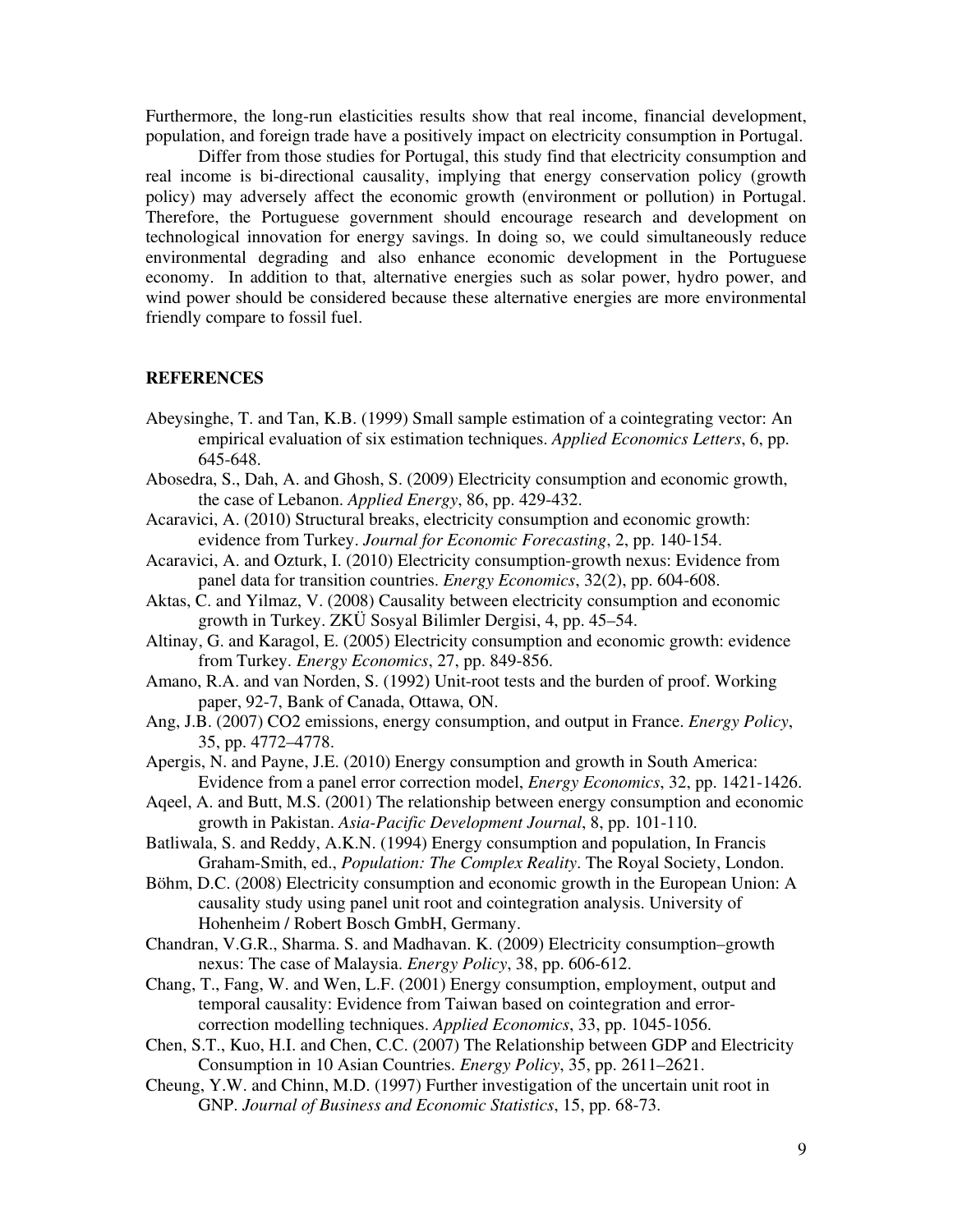Furthermore, the long-run elasticities results show that real income, financial development, population, and foreign trade have a positively impact on electricity consumption in Portugal.

Differ from those studies for Portugal, this study find that electricity consumption and real income is bi-directional causality, implying that energy conservation policy (growth policy) may adversely affect the economic growth (environment or pollution) in Portugal. Therefore, the Portuguese government should encourage research and development on technological innovation for energy savings. In doing so, we could simultaneously reduce environmental degrading and also enhance economic development in the Portuguese economy. In addition to that, alternative energies such as solar power, hydro power, and wind power should be considered because these alternative energies are more environmental friendly compare to fossil fuel.

#### **REFERENCES**

- Abeysinghe, T. and Tan, K.B. (1999) Small sample estimation of a cointegrating vector: An empirical evaluation of six estimation techniques. *Applied Economics Letters*, 6, pp. 645-648.
- Abosedra, S., Dah, A. and Ghosh, S. (2009) Electricity consumption and economic growth, the case of Lebanon. *Applied Energy*, 86, pp. 429-432.
- Acaravici, A. (2010) Structural breaks, electricity consumption and economic growth: evidence from Turkey. *Journal for Economic Forecasting*, 2, pp. 140-154.
- Acaravici, A. and Ozturk, I. (2010) Electricity consumption-growth nexus: Evidence from panel data for transition countries. *Energy Economics*, 32(2), pp. 604-608.
- Aktas, C. and Yilmaz, V. (2008) Causality between electricity consumption and economic growth in Turkey. ZKÜ Sosyal Bilimler Dergisi, 4, pp. 45–54.
- Altinay, G. and Karagol, E. (2005) Electricity consumption and economic growth: evidence from Turkey. *Energy Economics*, 27, pp. 849-856.
- Amano, R.A. and van Norden, S. (1992) Unit-root tests and the burden of proof. Working paper, 92-7, Bank of Canada, Ottawa, ON.
- Ang, J.B. (2007) CO2 emissions, energy consumption, and output in France. *Energy Policy*, 35, pp. 4772–4778.
- Apergis, N. and Payne, J.E. (2010) Energy consumption and growth in South America: Evidence from a panel error correction model, *Energy Economics*, 32, pp. 1421-1426.
- Aqeel, A. and Butt, M.S. (2001) The relationship between energy consumption and economic growth in Pakistan. *Asia-Pacific Development Journal*, 8, pp. 101-110.
- Batliwala, S. and Reddy, A.K.N. (1994) Energy consumption and population, In Francis Graham-Smith, ed., *Population: The Complex Reality*. The Royal Society, London.
- Böhm, D.C. (2008) Electricity consumption and economic growth in the European Union: A causality study using panel unit root and cointegration analysis. University of Hohenheim / Robert Bosch GmbH, Germany.
- Chandran, V.G.R., Sharma. S. and Madhavan. K. (2009) Electricity consumption–growth nexus: The case of Malaysia. *Energy Policy*, 38, pp. 606-612.
- Chang, T., Fang, W. and Wen, L.F. (2001) Energy consumption, employment, output and temporal causality: Evidence from Taiwan based on cointegration and errorcorrection modelling techniques. *Applied Economics*, 33, pp. 1045-1056.
- Chen, S.T., Kuo, H.I. and Chen, C.C. (2007) The Relationship between GDP and Electricity Consumption in 10 Asian Countries. *Energy Policy*, 35, pp. 2611–2621.
- Cheung, Y.W. and Chinn, M.D. (1997) Further investigation of the uncertain unit root in GNP. *Journal of Business and Economic Statistics*, 15, pp. 68-73.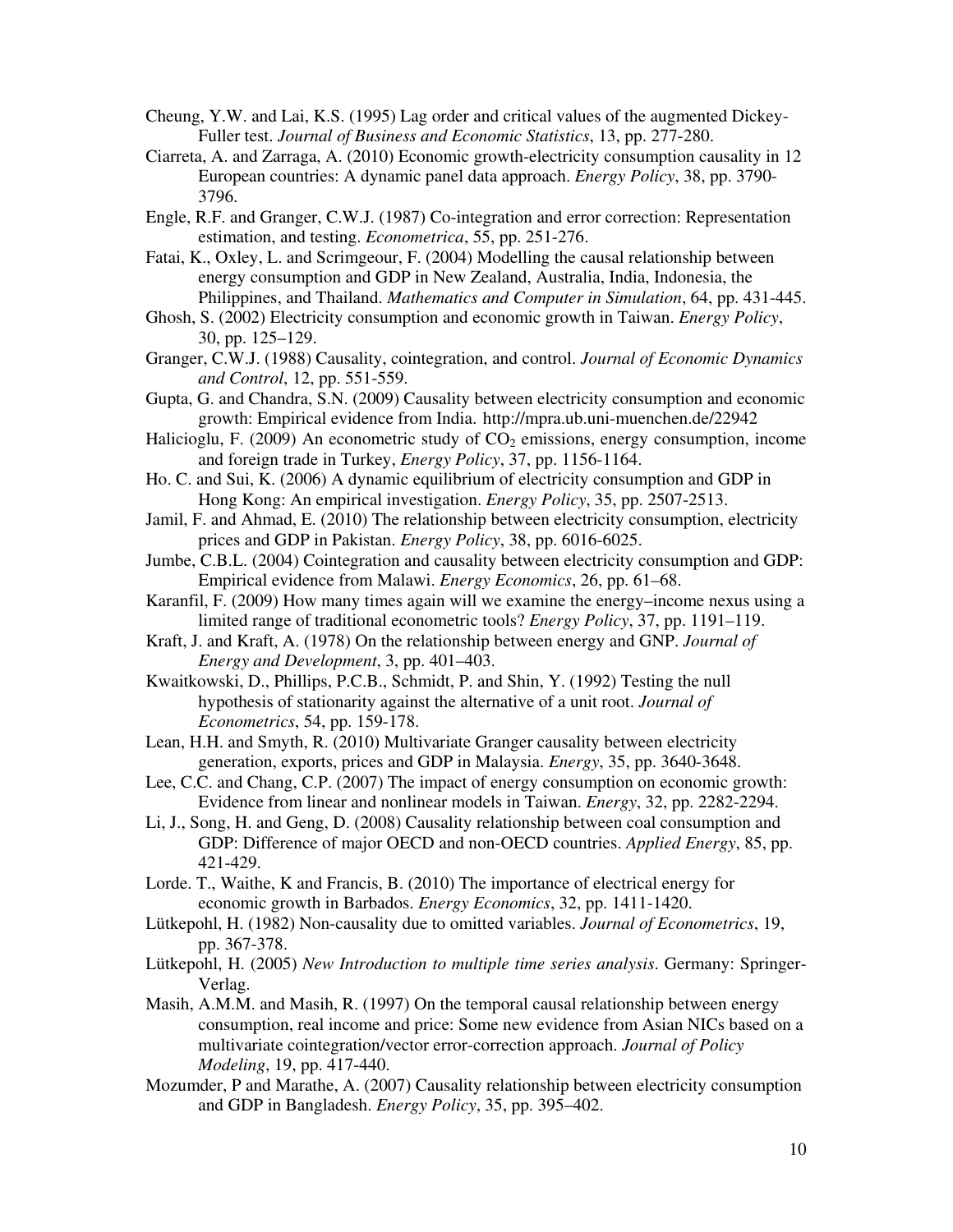- Cheung, Y.W. and Lai, K.S. (1995) Lag order and critical values of the augmented Dickey-Fuller test. *Journal of Business and Economic Statistics*, 13, pp. 277-280.
- Ciarreta, A. and Zarraga, A. (2010) Economic growth-electricity consumption causality in 12 European countries: A dynamic panel data approach. *Energy Policy*, 38, pp. 3790- 3796.
- Engle, R.F. and Granger, C.W.J. (1987) Co-integration and error correction: Representation estimation, and testing. *Econometrica*, 55, pp. 251-276.
- Fatai, K., Oxley, L. and Scrimgeour, F. (2004) Modelling the causal relationship between energy consumption and GDP in New Zealand, Australia, India, Indonesia, the Philippines, and Thailand. *Mathematics and Computer in Simulation*, 64, pp. 431-445.
- Ghosh, S. (2002) Electricity consumption and economic growth in Taiwan. *Energy Policy*, 30, pp. 125–129.
- Granger, C.W.J. (1988) Causality, cointegration, and control. *Journal of Economic Dynamics and Control*, 12, pp. 551-559.
- Gupta, G. and Chandra, S.N. (2009) Causality between electricity consumption and economic growth: Empirical evidence from India. http://mpra.ub.uni-muenchen.de/22942
- Halicioglu, F. (2009) An econometric study of  $CO<sub>2</sub>$  emissions, energy consumption, income and foreign trade in Turkey, *Energy Policy*, 37, pp. 1156-1164.
- Ho. C. and Sui, K. (2006) A dynamic equilibrium of electricity consumption and GDP in Hong Kong: An empirical investigation. *Energy Policy*, 35, pp. 2507-2513.
- Jamil, F. and Ahmad, E. (2010) The relationship between electricity consumption, electricity prices and GDP in Pakistan. *Energy Policy*, 38, pp. 6016-6025.
- Jumbe, C.B.L. (2004) Cointegration and causality between electricity consumption and GDP: Empirical evidence from Malawi. *Energy Economics*, 26, pp. 61–68.
- Karanfil, F. (2009) How many times again will we examine the energy–income nexus using a limited range of traditional econometric tools? *Energy Policy*, 37, pp. 1191–119.
- Kraft, J. and Kraft, A. (1978) On the relationship between energy and GNP. *Journal of Energy and Development*, 3, pp. 401–403.
- Kwaitkowski, D., Phillips, P.C.B., Schmidt, P. and Shin, Y. (1992) Testing the null hypothesis of stationarity against the alternative of a unit root. *Journal of Econometrics*, 54, pp. 159-178.
- Lean, H.H. and Smyth, R. (2010) Multivariate Granger causality between electricity generation, exports, prices and GDP in Malaysia. *Energy*, 35, pp. 3640-3648.
- Lee, C.C. and Chang, C.P. (2007) The impact of energy consumption on economic growth: Evidence from linear and nonlinear models in Taiwan. *Energy*, 32, pp. 2282-2294.
- Li, J., Song, H. and Geng, D. (2008) Causality relationship between coal consumption and GDP: Difference of major OECD and non-OECD countries. *Applied Energy*, 85, pp. 421-429.
- Lorde. T., Waithe, K and Francis, B. (2010) The importance of electrical energy for economic growth in Barbados. *Energy Economics*, 32, pp. 1411-1420.
- Lütkepohl, H. (1982) Non-causality due to omitted variables. *Journal of Econometrics*, 19, pp. 367-378.
- Lütkepohl, H. (2005) *New Introduction to multiple time series analysis*. Germany: Springer-Verlag.
- Masih, A.M.M. and Masih, R. (1997) On the temporal causal relationship between energy consumption, real income and price: Some new evidence from Asian NICs based on a multivariate cointegration/vector error-correction approach. *Journal of Policy Modeling*, 19, pp. 417-440.
- Mozumder, P and Marathe, A. (2007) Causality relationship between electricity consumption and GDP in Bangladesh. *Energy Policy*, 35, pp. 395–402.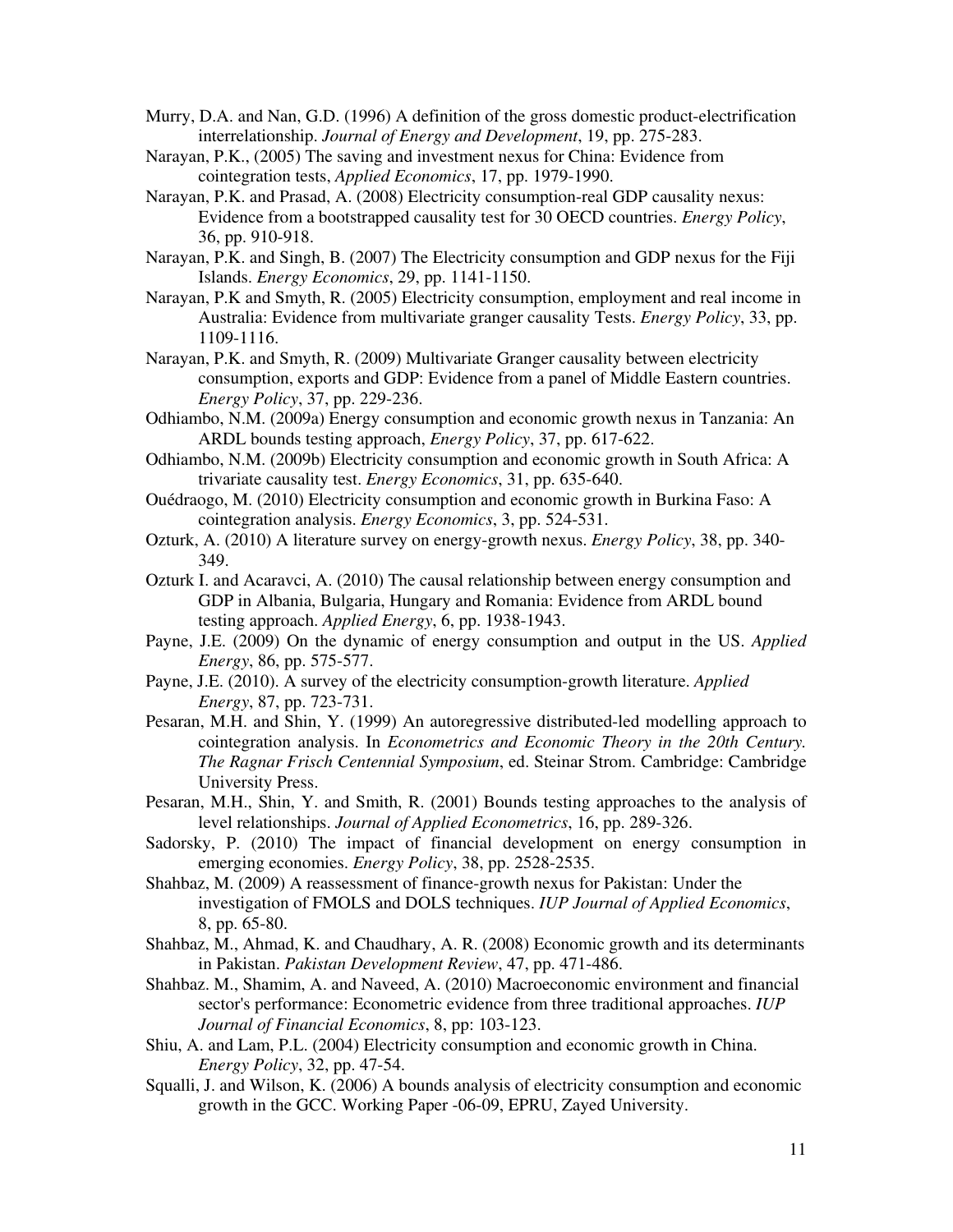Murry, D.A. and Nan, G.D. (1996) A definition of the gross domestic product-electrification interrelationship. *Journal of Energy and Development*, 19, pp. 275-283.

- Narayan, P.K., (2005) The saving and investment nexus for China: Evidence from cointegration tests, *Applied Economics*, 17, pp. 1979-1990.
- Narayan, P.K. and Prasad, A. (2008) Electricity consumption-real GDP causality nexus: Evidence from a bootstrapped causality test for 30 OECD countries. *Energy Policy*, 36, pp. 910-918.
- Narayan, P.K. and Singh, B. (2007) The Electricity consumption and GDP nexus for the Fiji Islands. *Energy Economics*, 29, pp. 1141-1150.
- Narayan, P.K and Smyth, R. (2005) Electricity consumption, employment and real income in Australia: Evidence from multivariate granger causality Tests. *Energy Policy*, 33, pp. 1109-1116.
- Narayan, P.K. and Smyth, R. (2009) Multivariate Granger causality between electricity consumption, exports and GDP: Evidence from a panel of Middle Eastern countries. *Energy Policy*, 37, pp. 229-236.
- Odhiambo, N.M. (2009a) Energy consumption and economic growth nexus in Tanzania: An ARDL bounds testing approach, *Energy Policy*, 37, pp. 617-622.
- Odhiambo, N.M. (2009b) Electricity consumption and economic growth in South Africa: A trivariate causality test. *Energy Economics*, 31, pp. 635-640.
- Ouédraogo, M. (2010) Electricity consumption and economic growth in Burkina Faso: A cointegration analysis. *Energy Economics*, 3, pp. 524-531.
- Ozturk, A. (2010) A literature survey on energy-growth nexus. *Energy Policy*, 38, pp. 340- 349.
- Ozturk I. and Acaravci, A. (2010) The causal relationship between energy consumption and GDP in Albania, Bulgaria, Hungary and Romania: Evidence from ARDL bound testing approach. *Applied Energy*, 6, pp. 1938-1943.
- Payne, J.E. (2009) On the dynamic of energy consumption and output in the US. *Applied Energy*, 86, pp. 575-577.
- Payne, J.E. (2010). A survey of the electricity consumption-growth literature. *Applied Energy*, 87, pp. 723-731.
- Pesaran, M.H. and Shin, Y. (1999) An autoregressive distributed-led modelling approach to cointegration analysis. In *Econometrics and Economic Theory in the 20th Century. The Ragnar Frisch Centennial Symposium*, ed. Steinar Strom. Cambridge: Cambridge University Press.
- Pesaran, M.H., Shin, Y. and Smith, R. (2001) Bounds testing approaches to the analysis of level relationships. *Journal of Applied Econometrics*, 16, pp. 289-326.
- Sadorsky, P. (2010) The impact of financial development on energy consumption in emerging economies. *Energy Policy*, 38, pp. 2528-2535.
- Shahbaz, M. (2009) A reassessment of finance-growth nexus for Pakistan: Under the investigation of FMOLS and DOLS techniques. *IUP Journal of Applied Economics*, 8, pp. 65-80.
- Shahbaz, M., Ahmad, K. and Chaudhary, A. R. (2008) Economic growth and its determinants in Pakistan. *Pakistan Development Review*, 47, pp. 471-486.
- Shahbaz. M., Shamim, A. and Naveed, A. (2010) Macroeconomic environment and financial sector's performance: Econometric evidence from three traditional approaches. *IUP Journal of Financial Economics*, 8, pp: 103-123.
- Shiu, A. and Lam, P.L. (2004) Electricity consumption and economic growth in China. *Energy Policy*, 32, pp. 47-54.
- Squalli, J. and Wilson, K. (2006) A bounds analysis of electricity consumption and economic growth in the GCC. Working Paper -06-09, EPRU, Zayed University.